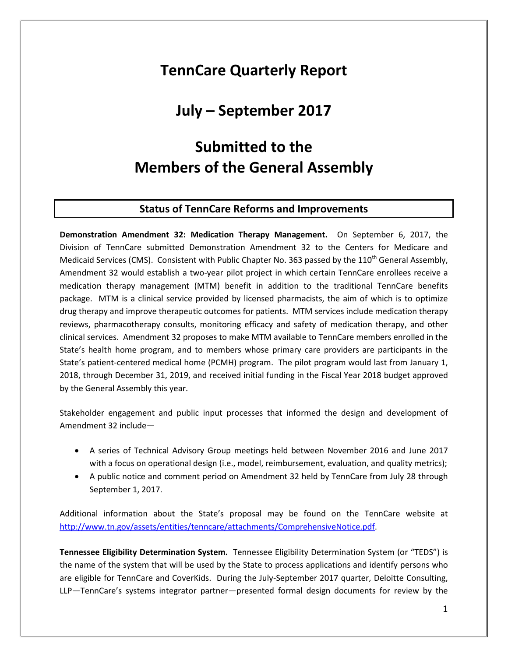### **TennCare Quarterly Report**

### **July – September 2017**

### **Submitted to the Members of the General Assembly**

#### **Status of TennCare Reforms and Improvements**

**Demonstration Amendment 32: Medication Therapy Management.** On September 6, 2017, the Division of TennCare submitted Demonstration Amendment 32 to the Centers for Medicare and Medicaid Services (CMS). Consistent with Public Chapter No. 363 passed by the 110<sup>th</sup> General Assembly, Amendment 32 would establish a two-year pilot project in which certain TennCare enrollees receive a medication therapy management (MTM) benefit in addition to the traditional TennCare benefits package. MTM is a clinical service provided by licensed pharmacists, the aim of which is to optimize drug therapy and improve therapeutic outcomes for patients. MTM services include medication therapy reviews, pharmacotherapy consults, monitoring efficacy and safety of medication therapy, and other clinical services. Amendment 32 proposes to make MTM available to TennCare members enrolled in the State's health home program, and to members whose primary care providers are participants in the State's patient-centered medical home (PCMH) program. The pilot program would last from January 1, 2018, through December 31, 2019, and received initial funding in the Fiscal Year 2018 budget approved by the General Assembly this year.

Stakeholder engagement and public input processes that informed the design and development of Amendment 32 include—

- A series of Technical Advisory Group meetings held between November 2016 and June 2017 with a focus on operational design (i.e., model, reimbursement, evaluation, and quality metrics);
- A public notice and comment period on Amendment 32 held by TennCare from July 28 through September 1, 2017.

Additional information about the State's proposal may be found on the TennCare website at [http://www.tn.gov/assets/entities/tenncare/attachments/ComprehensiveNotice.pdf.](http://www.tn.gov/assets/entities/tenncare/attachments/ComprehensiveNotice.pdf)

**Tennessee Eligibility Determination System.** Tennessee Eligibility Determination System (or "TEDS") is the name of the system that will be used by the State to process applications and identify persons who are eligible for TennCare and CoverKids. During the July-September 2017 quarter, Deloitte Consulting, LLP—TennCare's systems integrator partner—presented formal design documents for review by the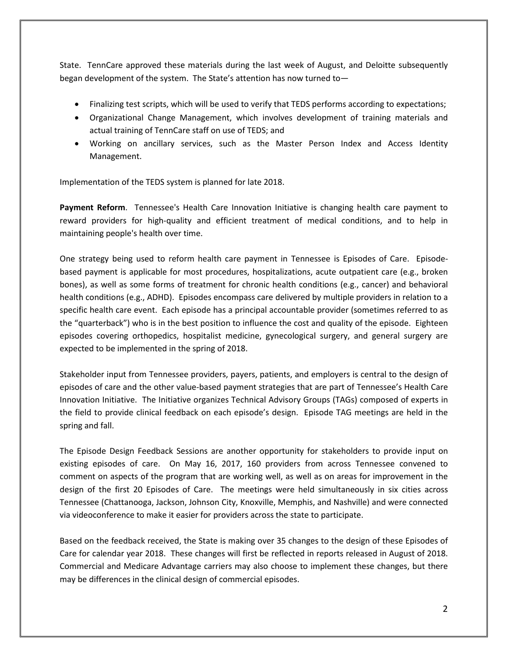State. TennCare approved these materials during the last week of August, and Deloitte subsequently began development of the system. The State's attention has now turned to—

- Finalizing test scripts, which will be used to verify that TEDS performs according to expectations;
- Organizational Change Management, which involves development of training materials and actual training of TennCare staff on use of TEDS; and
- Working on ancillary services, such as the Master Person Index and Access Identity Management.

Implementation of the TEDS system is planned for late 2018.

**Payment Reform**. Tennessee's Health Care Innovation Initiative is changing health care payment to reward providers for high-quality and efficient treatment of medical conditions, and to help in maintaining people's health over time.

One strategy being used to reform health care payment in Tennessee is Episodes of Care. Episodebased payment is applicable for most procedures, hospitalizations, acute outpatient care (e.g., broken bones), as well as some forms of treatment for chronic health conditions (e.g., cancer) and behavioral health conditions (e.g., ADHD). Episodes encompass care delivered by multiple providers in relation to a specific health care event. Each episode has a principal accountable provider (sometimes referred to as the "quarterback") who is in the best position to influence the cost and quality of the episode. Eighteen episodes covering orthopedics, hospitalist medicine, gynecological surgery, and general surgery are expected to be implemented in the spring of 2018.

Stakeholder input from Tennessee providers, payers, patients, and employers is central to the design of episodes of care and the other value-based payment strategies that are part of Tennessee's Health Care Innovation Initiative. The Initiative organizes Technical Advisory Groups (TAGs) composed of experts in the field to provide clinical feedback on each episode's design. Episode TAG meetings are held in the spring and fall.

The Episode Design Feedback Sessions are another opportunity for stakeholders to provide input on existing episodes of care. On May 16, 2017, 160 providers from across Tennessee convened to comment on aspects of the program that are working well, as well as on areas for improvement in the design of the first 20 Episodes of Care. The meetings were held simultaneously in six cities across Tennessee (Chattanooga, Jackson, Johnson City, Knoxville, Memphis, and Nashville) and were connected via videoconference to make it easier for providers across the state to participate.

Based on the feedback received, the State is making over 35 changes to the design of these Episodes of Care for calendar year 2018. These changes will first be reflected in reports released in August of 2018. Commercial and Medicare Advantage carriers may also choose to implement these changes, but there may be differences in the clinical design of commercial episodes.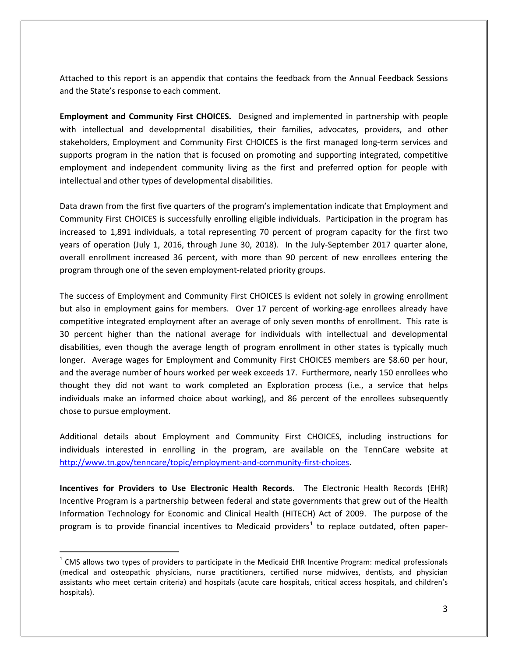Attached to this report is an appendix that contains the feedback from the Annual Feedback Sessions and the State's response to each comment.

**Employment and Community First CHOICES.** Designed and implemented in partnership with people with intellectual and developmental disabilities, their families, advocates, providers, and other stakeholders, Employment and Community First CHOICES is the first managed long-term services and supports program in the nation that is focused on promoting and supporting integrated, competitive employment and independent community living as the first and preferred option for people with intellectual and other types of developmental disabilities.

Data drawn from the first five quarters of the program's implementation indicate that Employment and Community First CHOICES is successfully enrolling eligible individuals. Participation in the program has increased to 1,891 individuals, a total representing 70 percent of program capacity for the first two years of operation (July 1, 2016, through June 30, 2018). In the July-September 2017 quarter alone, overall enrollment increased 36 percent, with more than 90 percent of new enrollees entering the program through one of the seven employment-related priority groups.

The success of Employment and Community First CHOICES is evident not solely in growing enrollment but also in employment gains for members. Over 17 percent of working-age enrollees already have competitive integrated employment after an average of only seven months of enrollment. This rate is 30 percent higher than the national average for individuals with intellectual and developmental disabilities, even though the average length of program enrollment in other states is typically much longer. Average wages for Employment and Community First CHOICES members are \$8.60 per hour, and the average number of hours worked per week exceeds 17. Furthermore, nearly 150 enrollees who thought they did not want to work completed an Exploration process (i.e., a service that helps individuals make an informed choice about working), and 86 percent of the enrollees subsequently chose to pursue employment.

Additional details about Employment and Community First CHOICES, including instructions for individuals interested in enrolling in the program, are available on the TennCare website at [http://www.tn.gov/tenncare/topic/employment-and-community-first-choices.](http://www.tn.gov/tenncare/topic/employment-and-community-first-choices)

**Incentives for Providers to Use Electronic Health Records.** The Electronic Health Records (EHR) Incentive Program is a partnership between federal and state governments that grew out of the Health Information Technology for Economic and Clinical Health (HITECH) Act of 2009. The purpose of the program is to provide financial incentives to Medicaid providers<sup>[1](#page-2-0)</sup> to replace outdated, often paper-

 $\overline{a}$ 

<span id="page-2-0"></span> $1$  CMS allows two types of providers to participate in the Medicaid EHR Incentive Program: medical professionals (medical and osteopathic physicians, nurse practitioners, certified nurse midwives, dentists, and physician assistants who meet certain criteria) and hospitals (acute care hospitals, critical access hospitals, and children's hospitals).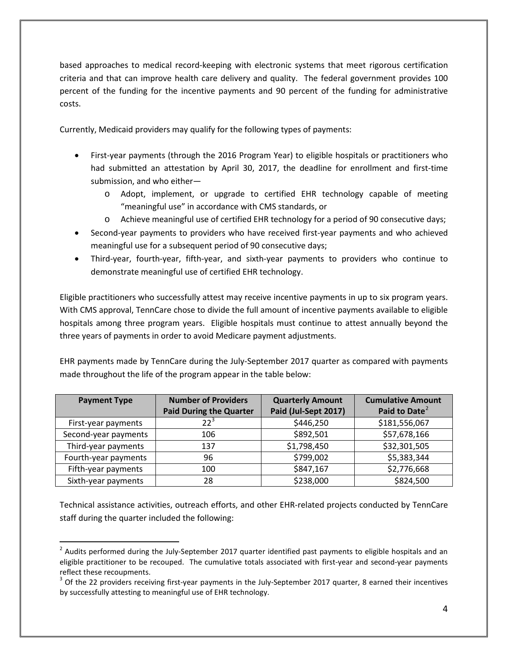based approaches to medical record-keeping with electronic systems that meet rigorous certification criteria and that can improve health care delivery and quality. The federal government provides 100 percent of the funding for the incentive payments and 90 percent of the funding for administrative costs.

Currently, Medicaid providers may qualify for the following types of payments:

- First-year payments (through the 2016 Program Year) to eligible hospitals or practitioners who had submitted an attestation by April 30, 2017, the deadline for enrollment and first-time submission, and who either
	- o Adopt, implement, or upgrade to certified EHR technology capable of meeting "meaningful use" in accordance with CMS standards, or
	- o Achieve meaningful use of certified EHR technology for a period of 90 consecutive days;
- Second-year payments to providers who have received first-year payments and who achieved meaningful use for a subsequent period of 90 consecutive days;
- Third-year, fourth-year, fifth-year, and sixth-year payments to providers who continue to demonstrate meaningful use of certified EHR technology.

Eligible practitioners who successfully attest may receive incentive payments in up to six program years. With CMS approval, TennCare chose to divide the full amount of incentive payments available to eligible hospitals among three program years. Eligible hospitals must continue to attest annually beyond the three years of payments in order to avoid Medicare payment adjustments.

EHR payments made by TennCare during the July-September 2017 quarter as compared with payments made throughout the life of the program appear in the table below:

| <b>Payment Type</b>  | <b>Number of Providers</b>     | <b>Quarterly Amount</b> | <b>Cumulative Amount</b>  |
|----------------------|--------------------------------|-------------------------|---------------------------|
|                      | <b>Paid During the Quarter</b> | Paid (Jul-Sept 2017)    | Paid to Date <sup>2</sup> |
| First-year payments  | 22 <sup>3</sup>                | \$446,250               | \$181,556,067             |
| Second-year payments | 106                            | \$892,501               | \$57,678,166              |
| Third-year payments  | 137                            | \$1,798,450             | \$32,301,505              |
| Fourth-year payments | 96                             | \$799,002               | \$5,383,344               |
| Fifth-year payments  | 100                            | \$847,167               | \$2,776,668               |
| Sixth-year payments  | 28                             | \$238,000               | \$824,500                 |

Technical assistance activities, outreach efforts, and other EHR-related projects conducted by TennCare staff during the quarter included the following:

 $\overline{a}$ 

<span id="page-3-0"></span> $2$  Audits performed during the July-September 2017 quarter identified past payments to eligible hospitals and an eligible practitioner to be recouped. The cumulative totals associated with first-year and second-year payments reflect these recoupments.

<span id="page-3-1"></span> $3$  Of the 22 providers receiving first-year payments in the July-September 2017 quarter, 8 earned their incentives by successfully attesting to meaningful use of EHR technology.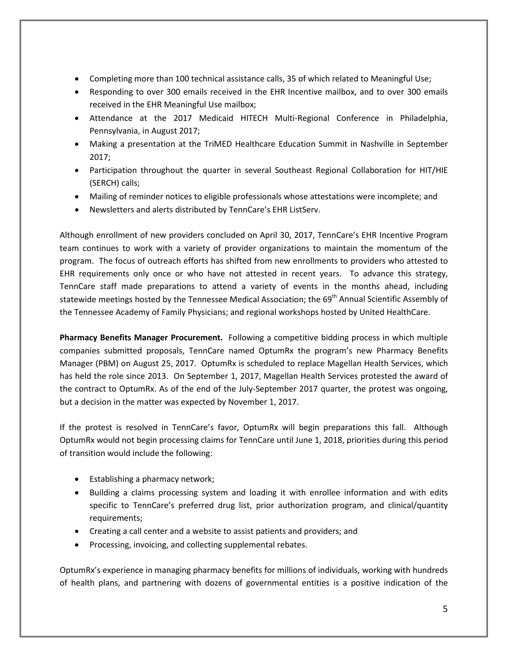- Completing more than 100 technical assistance calls, 35 of which related to Meaningful Use;
- Responding to over 300 emails received in the EHR Incentive mailbox, and to over 300 emails received in the EHR Meaningful Use mailbox;
- Attendance at the 2017 Medicaid HITECH Multi-Regional Conference in Philadelphia, Pennsylvania, in August 2017;
- Making a presentation at the TriMED Healthcare Education Summit in Nashville in September 2017;
- Participation throughout the quarter in several Southeast Regional Collaboration for HIT/HIE (SERCH) calls;
- Mailing of reminder notices to eligible professionals whose attestations were incomplete; and
- Newsletters and alerts distributed by TennCare's EHR ListServ.

Although enrollment of new providers concluded on April 30, 2017, TennCare's EHR Incentive Program team continues to work with a variety of provider organizations to maintain the momentum of the program. The focus of outreach efforts has shifted from new enrollments to providers who attested to EHR requirements only once or who have not attested in recent years. To advance this strategy, TennCare staff made preparations to attend a variety of events in the months ahead, including statewide meetings hosted by the Tennessee Medical Association; the 69<sup>th</sup> Annual Scientific Assembly of the Tennessee Academy of Family Physicians; and regional workshops hosted by United HealthCare.

**Pharmacy Benefits Manager Procurement.** Following a competitive bidding process in which multiple companies submitted proposals, TennCare named OptumRx the program's new Pharmacy Benefits Manager (PBM) on August 25, 2017. OptumRx is scheduled to replace Magellan Health Services, which has held the role since 2013. On September 1, 2017, Magellan Health Services protested the award of the contract to OptumRx. As of the end of the July-September 2017 quarter, the protest was ongoing, but a decision in the matter was expected by November 1, 2017.

If the protest is resolved in TennCare's favor, OptumRx will begin preparations this fall. Although OptumRx would not begin processing claims for TennCare until June 1, 2018, priorities during this period of transition would include the following:

- Establishing a pharmacy network;
- Building a claims processing system and loading it with enrollee information and with edits specific to TennCare's preferred drug list, prior authorization program, and clinical/quantity requirements;
- Creating a call center and a website to assist patients and providers; and
- Processing, invoicing, and collecting supplemental rebates.

OptumRx's experience in managing pharmacy benefits for millions of individuals, working with hundreds of health plans, and partnering with dozens of governmental entities is a positive indication of the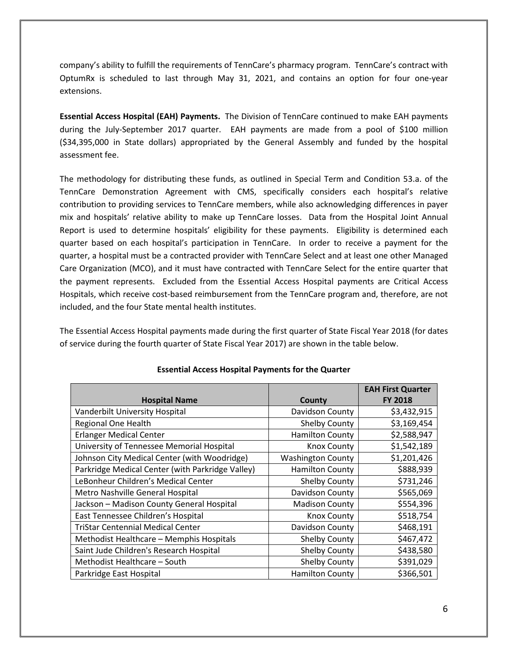company's ability to fulfill the requirements of TennCare's pharmacy program. TennCare's contract with OptumRx is scheduled to last through May 31, 2021, and contains an option for four one-year extensions.

**Essential Access Hospital (EAH) Payments.** The Division of TennCare continued to make EAH payments during the July-September 2017 quarter. EAH payments are made from a pool of \$100 million (\$34,395,000 in State dollars) appropriated by the General Assembly and funded by the hospital assessment fee.

The methodology for distributing these funds, as outlined in Special Term and Condition 53.a. of the TennCare Demonstration Agreement with CMS, specifically considers each hospital's relative contribution to providing services to TennCare members, while also acknowledging differences in payer mix and hospitals' relative ability to make up TennCare losses. Data from the Hospital Joint Annual Report is used to determine hospitals' eligibility for these payments. Eligibility is determined each quarter based on each hospital's participation in TennCare. In order to receive a payment for the quarter, a hospital must be a contracted provider with TennCare Select and at least one other Managed Care Organization (MCO), and it must have contracted with TennCare Select for the entire quarter that the payment represents. Excluded from the Essential Access Hospital payments are Critical Access Hospitals, which receive cost-based reimbursement from the TennCare program and, therefore, are not included, and the four State mental health institutes.

The Essential Access Hospital payments made during the first quarter of State Fiscal Year 2018 (for dates of service during the fourth quarter of State Fiscal Year 2017) are shown in the table below.

|                                                  |                          | <b>EAH First Quarter</b> |
|--------------------------------------------------|--------------------------|--------------------------|
| <b>Hospital Name</b>                             | County                   | <b>FY 2018</b>           |
| Vanderbilt University Hospital                   | Davidson County          | \$3,432,915              |
| <b>Regional One Health</b>                       | Shelby County            | \$3,169,454              |
| <b>Erlanger Medical Center</b>                   | <b>Hamilton County</b>   | \$2,588,947              |
| University of Tennessee Memorial Hospital        | <b>Knox County</b>       | \$1,542,189              |
| Johnson City Medical Center (with Woodridge)     | <b>Washington County</b> | \$1,201,426              |
| Parkridge Medical Center (with Parkridge Valley) | <b>Hamilton County</b>   | \$888,939                |
| LeBonheur Children's Medical Center              | <b>Shelby County</b>     | \$731,246                |
| Metro Nashville General Hospital                 | Davidson County          | \$565,069                |
| Jackson - Madison County General Hospital        | <b>Madison County</b>    | \$554,396                |
| East Tennessee Children's Hospital               | <b>Knox County</b>       | \$518,754                |
| <b>TriStar Centennial Medical Center</b>         | Davidson County          | \$468,191                |
| Methodist Healthcare - Memphis Hospitals         | Shelby County            | \$467,472                |
| Saint Jude Children's Research Hospital          | <b>Shelby County</b>     | \$438,580                |
| Methodist Healthcare - South                     | <b>Shelby County</b>     | \$391,029                |
| Parkridge East Hospital                          | <b>Hamilton County</b>   | \$366,501                |

#### **Essential Access Hospital Payments for the Quarter**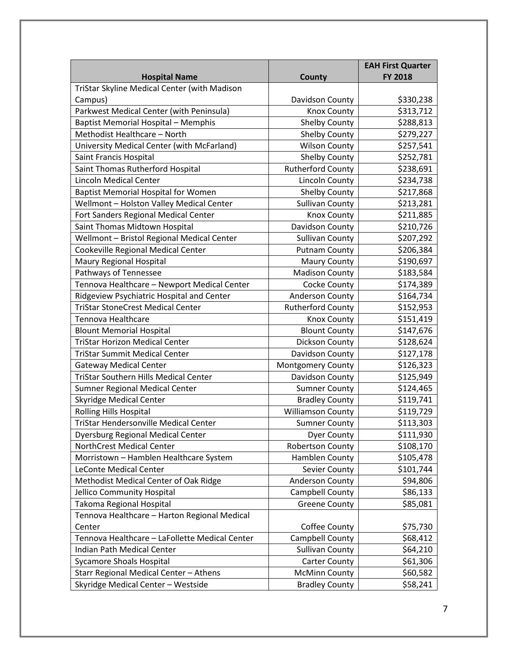|                                                                      |                          | <b>EAH First Quarter</b><br><b>FY 2018</b> |
|----------------------------------------------------------------------|--------------------------|--------------------------------------------|
| <b>Hospital Name</b><br>TriStar Skyline Medical Center (with Madison | County                   |                                            |
| Campus)                                                              | Davidson County          | \$330,238                                  |
| Parkwest Medical Center (with Peninsula)                             | <b>Knox County</b>       | \$313,712                                  |
| <b>Baptist Memorial Hospital - Memphis</b>                           | <b>Shelby County</b>     | \$288,813                                  |
| Methodist Healthcare - North                                         | <b>Shelby County</b>     | \$279,227                                  |
| University Medical Center (with McFarland)                           | <b>Wilson County</b>     | \$257,541                                  |
| Saint Francis Hospital                                               | <b>Shelby County</b>     | \$252,781                                  |
| Saint Thomas Rutherford Hospital                                     | <b>Rutherford County</b> | \$238,691                                  |
| <b>Lincoln Medical Center</b>                                        | <b>Lincoln County</b>    | \$234,738                                  |
|                                                                      |                          |                                            |
| <b>Baptist Memorial Hospital for Women</b>                           | <b>Shelby County</b>     | \$217,868                                  |
| Wellmont - Holston Valley Medical Center                             | <b>Sullivan County</b>   | \$213,281                                  |
| Fort Sanders Regional Medical Center                                 | <b>Knox County</b>       | \$211,885                                  |
| Saint Thomas Midtown Hospital                                        | Davidson County          | \$210,726                                  |
| Wellmont - Bristol Regional Medical Center                           | <b>Sullivan County</b>   | \$207,292                                  |
| Cookeville Regional Medical Center                                   | <b>Putnam County</b>     | \$206,384                                  |
| <b>Maury Regional Hospital</b>                                       | <b>Maury County</b>      | \$190,697                                  |
| Pathways of Tennessee                                                | <b>Madison County</b>    | \$183,584                                  |
| Tennova Healthcare - Newport Medical Center                          | Cocke County             | \$174,389                                  |
| Ridgeview Psychiatric Hospital and Center                            | <b>Anderson County</b>   | \$164,734                                  |
| <b>TriStar StoneCrest Medical Center</b>                             | <b>Rutherford County</b> | \$152,953                                  |
| Tennova Healthcare                                                   | <b>Knox County</b>       | \$151,419                                  |
| <b>Blount Memorial Hospital</b>                                      | <b>Blount County</b>     | \$147,676                                  |
| <b>TriStar Horizon Medical Center</b>                                | Dickson County           | \$128,624                                  |
| <b>TriStar Summit Medical Center</b>                                 | Davidson County          | \$127,178                                  |
| <b>Gateway Medical Center</b>                                        | Montgomery County        | \$126,323                                  |
| <b>TriStar Southern Hills Medical Center</b>                         | Davidson County          | \$125,949                                  |
| Sumner Regional Medical Center                                       | <b>Sumner County</b>     | \$124,465                                  |
| <b>Skyridge Medical Center</b>                                       | <b>Bradley County</b>    | \$119,741                                  |
| <b>Rolling Hills Hospital</b>                                        | <b>Williamson County</b> | \$119,729                                  |
| TriStar Hendersonville Medical Center                                | <b>Sumner County</b>     | \$113,303                                  |
| <b>Dyersburg Regional Medical Center</b>                             | <b>Dyer County</b>       | \$111,930                                  |
| NorthCrest Medical Center                                            | <b>Robertson County</b>  | \$108,170                                  |
| Morristown - Hamblen Healthcare System                               | Hamblen County           | \$105,478                                  |
| LeConte Medical Center                                               | Sevier County            | \$101,744                                  |
| Methodist Medical Center of Oak Ridge                                | Anderson County          | \$94,806                                   |
| Jellico Community Hospital                                           | Campbell County          | \$86,133                                   |
| Takoma Regional Hospital                                             | <b>Greene County</b>     | \$85,081                                   |
| Tennova Healthcare - Harton Regional Medical                         |                          |                                            |
| Center                                                               | Coffee County            | \$75,730                                   |
| Tennova Healthcare - LaFollette Medical Center                       | Campbell County          | \$68,412                                   |
| Indian Path Medical Center                                           | <b>Sullivan County</b>   | \$64,210                                   |
| <b>Sycamore Shoals Hospital</b>                                      | <b>Carter County</b>     | \$61,306                                   |
| Starr Regional Medical Center - Athens                               | <b>McMinn County</b>     | \$60,582                                   |
| Skyridge Medical Center - Westside                                   | <b>Bradley County</b>    | \$58,241                                   |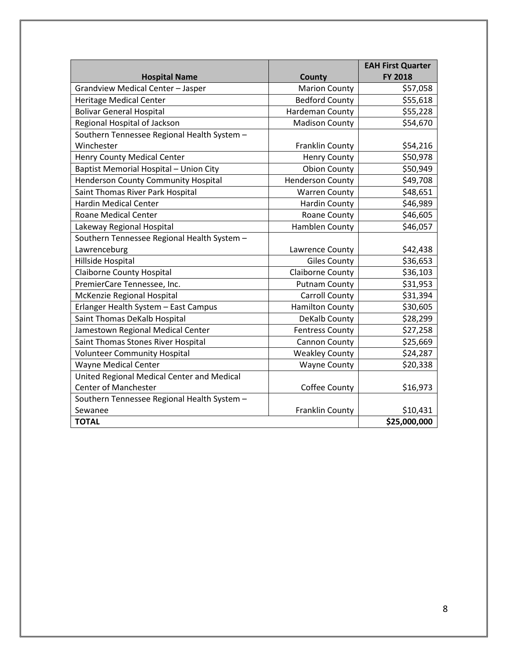|                                             |                         | <b>EAH First Quarter</b> |
|---------------------------------------------|-------------------------|--------------------------|
| <b>Hospital Name</b>                        | <b>County</b>           | <b>FY 2018</b>           |
| Grandview Medical Center - Jasper           | <b>Marion County</b>    | \$57,058                 |
| <b>Heritage Medical Center</b>              | <b>Bedford County</b>   | \$55,618                 |
| <b>Bolivar General Hospital</b>             | Hardeman County         | \$55,228                 |
| Regional Hospital of Jackson                | <b>Madison County</b>   | \$54,670                 |
| Southern Tennessee Regional Health System - |                         |                          |
| Winchester                                  | Franklin County         | \$54,216                 |
| <b>Henry County Medical Center</b>          | <b>Henry County</b>     | \$50,978                 |
| Baptist Memorial Hospital - Union City      | <b>Obion County</b>     | \$50,949                 |
| <b>Henderson County Community Hospital</b>  | <b>Henderson County</b> | \$49,708                 |
| Saint Thomas River Park Hospital            | <b>Warren County</b>    | \$48,651                 |
| <b>Hardin Medical Center</b>                | <b>Hardin County</b>    | \$46,989                 |
| <b>Roane Medical Center</b>                 | <b>Roane County</b>     | \$46,605                 |
| Lakeway Regional Hospital                   | <b>Hamblen County</b>   | \$46,057                 |
| Southern Tennessee Regional Health System - |                         |                          |
| Lawrenceburg                                | Lawrence County         | \$42,438                 |
| Hillside Hospital                           | <b>Giles County</b>     | \$36,653                 |
| <b>Claiborne County Hospital</b>            | <b>Claiborne County</b> | \$36,103                 |
| PremierCare Tennessee, Inc.                 | <b>Putnam County</b>    | \$31,953                 |
| McKenzie Regional Hospital                  | <b>Carroll County</b>   | \$31,394                 |
| Erlanger Health System - East Campus        | <b>Hamilton County</b>  | \$30,605                 |
| Saint Thomas DeKalb Hospital                | DeKalb County           | \$28,299                 |
| Jamestown Regional Medical Center           | <b>Fentress County</b>  | \$27,258                 |
| Saint Thomas Stones River Hospital          | Cannon County           | \$25,669                 |
| <b>Volunteer Community Hospital</b>         | <b>Weakley County</b>   | \$24,287                 |
| <b>Wayne Medical Center</b>                 | <b>Wayne County</b>     | \$20,338                 |
| United Regional Medical Center and Medical  |                         |                          |
| <b>Center of Manchester</b>                 | Coffee County           | \$16,973                 |
| Southern Tennessee Regional Health System - |                         |                          |
| Sewanee                                     | Franklin County         | \$10,431                 |
| <b>TOTAL</b>                                |                         | \$25,000,000             |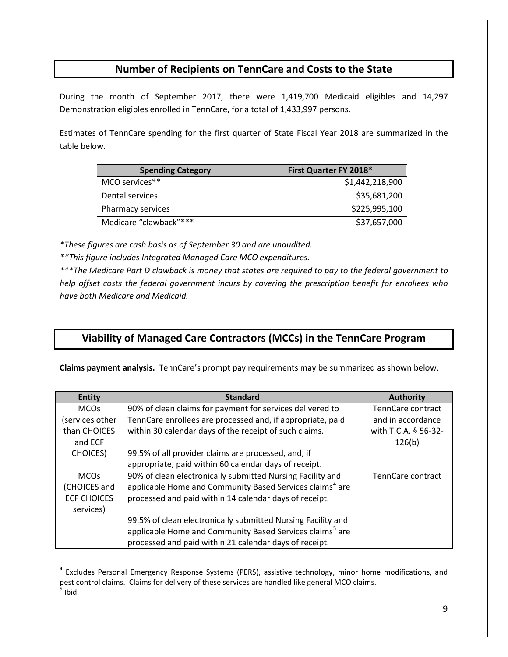#### **Number of Recipients on TennCare and Costs to the State**

During the month of September 2017, there were 1,419,700 Medicaid eligibles and 14,297 Demonstration eligibles enrolled in TennCare, for a total of 1,433,997 persons.

Estimates of TennCare spending for the first quarter of State Fiscal Year 2018 are summarized in the table below.

| <b>Spending Category</b> | First Quarter FY 2018* |
|--------------------------|------------------------|
| MCO services**           | \$1,442,218,900        |
| Dental services          | \$35,681,200           |
| Pharmacy services        | \$225,995,100          |
| Medicare "clawback"***   | \$37,657,000           |

*\*These figures are cash basis as of September 30 and are unaudited.*

*\*\*This figure includes Integrated Managed Care MCO expenditures.*

 $\overline{a}$ 

*\*\*\*The Medicare Part D clawback is money that states are required to pay to the federal government to help offset costs the federal government incurs by covering the prescription benefit for enrollees who have both Medicare and Medicaid.*

#### **Viability of Managed Care Contractors (MCCs) in the TennCare Program**

**Claims payment analysis.** TennCare's prompt pay requirements may be summarized as shown below.

| <b>Entity</b>      | <b>Standard</b>                                                      | <b>Authority</b>     |
|--------------------|----------------------------------------------------------------------|----------------------|
| <b>MCOs</b>        | 90% of clean claims for payment for services delivered to            | TennCare contract    |
| (services other    | TennCare enrollees are processed and, if appropriate, paid           | and in accordance    |
| than CHOICES       | within 30 calendar days of the receipt of such claims.               | with T.C.A. § 56-32- |
| and ECF            |                                                                      | 126(b)               |
| <b>CHOICES</b> )   | 99.5% of all provider claims are processed, and, if                  |                      |
|                    | appropriate, paid within 60 calendar days of receipt.                |                      |
| <b>MCOs</b>        | 90% of clean electronically submitted Nursing Facility and           | TennCare contract    |
| (CHOICES and       | applicable Home and Community Based Services claims <sup>4</sup> are |                      |
| <b>ECF CHOICES</b> | processed and paid within 14 calendar days of receipt.               |                      |
| services)          |                                                                      |                      |
|                    | 99.5% of clean electronically submitted Nursing Facility and         |                      |
|                    | applicable Home and Community Based Services claims <sup>5</sup> are |                      |
|                    | processed and paid within 21 calendar days of receipt.               |                      |

<span id="page-8-1"></span><span id="page-8-0"></span><sup>&</sup>lt;sup>4</sup> Excludes Personal Emergency Response Systems (PERS), assistive technology, minor home modifications, and pest control claims. Claims for delivery of these services are handled like general MCO claims.  $<sup>5</sup>$  Ibid.</sup>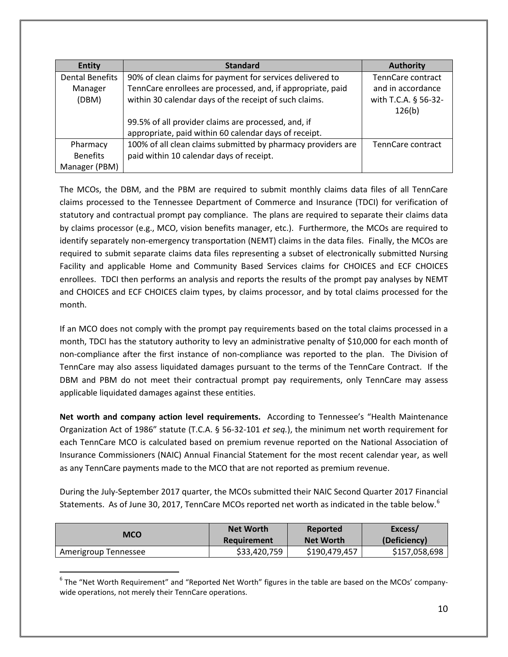| <b>Entity</b>          | <b>Standard</b>                                              | <b>Authority</b>               |
|------------------------|--------------------------------------------------------------|--------------------------------|
| <b>Dental Benefits</b> | 90% of clean claims for payment for services delivered to    | TennCare contract              |
| Manager                | TennCare enrollees are processed, and, if appropriate, paid  | and in accordance              |
| (DBM)                  | within 30 calendar days of the receipt of such claims.       | with T.C.A. § 56-32-<br>126(b) |
|                        | 99.5% of all provider claims are processed, and, if          |                                |
|                        | appropriate, paid within 60 calendar days of receipt.        |                                |
| Pharmacy               | 100% of all clean claims submitted by pharmacy providers are | TennCare contract              |
| <b>Benefits</b>        | paid within 10 calendar days of receipt.                     |                                |
| Manager (PBM)          |                                                              |                                |

The MCOs, the DBM, and the PBM are required to submit monthly claims data files of all TennCare claims processed to the Tennessee Department of Commerce and Insurance (TDCI) for verification of statutory and contractual prompt pay compliance. The plans are required to separate their claims data by claims processor (e.g., MCO, vision benefits manager, etc.). Furthermore, the MCOs are required to identify separately non-emergency transportation (NEMT) claims in the data files. Finally, the MCOs are required to submit separate claims data files representing a subset of electronically submitted Nursing Facility and applicable Home and Community Based Services claims for CHOICES and ECF CHOICES enrollees. TDCI then performs an analysis and reports the results of the prompt pay analyses by NEMT and CHOICES and ECF CHOICES claim types, by claims processor, and by total claims processed for the month.

If an MCO does not comply with the prompt pay requirements based on the total claims processed in a month, TDCI has the statutory authority to levy an administrative penalty of \$10,000 for each month of non-compliance after the first instance of non-compliance was reported to the plan. The Division of TennCare may also assess liquidated damages pursuant to the terms of the TennCare Contract. If the DBM and PBM do not meet their contractual prompt pay requirements, only TennCare may assess applicable liquidated damages against these entities.

**Net worth and company action level requirements.** According to Tennessee's "Health Maintenance Organization Act of 1986" statute (T.C.A. § 56-32-101 *et seq.*), the minimum net worth requirement for each TennCare MCO is calculated based on premium revenue reported on the National Association of Insurance Commissioners (NAIC) Annual Financial Statement for the most recent calendar year, as well as any TennCare payments made to the MCO that are not reported as premium revenue.

During the July-September 2017 quarter, the MCOs submitted their NAIC Second Quarter 2017 Financial Statements. As of June 30, 2017, TennCare MCOs reported net worth as indicated in the table below.<sup>[6](#page-9-0)</sup>

| <b>MCO</b>           | <b>Net Worth</b> | Reported         | Excess/       |
|----------------------|------------------|------------------|---------------|
|                      | Requirement      | <b>Net Worth</b> | (Deficiency)  |
| Amerigroup Tennessee | \$33,420,759     | \$190,479,457    | \$157,058,698 |

<span id="page-9-0"></span> $6$  The "Net Worth Requirement" and "Reported Net Worth" figures in the table are based on the MCOs' companywide operations, not merely their TennCare operations.  $\overline{a}$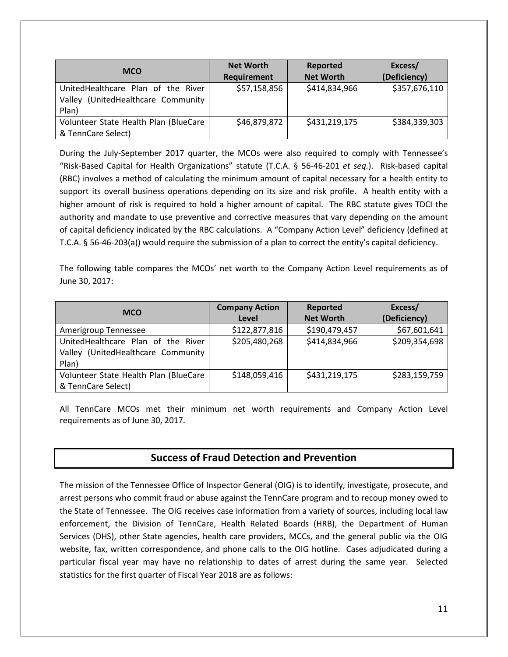| <b>MCO</b>                                                                           | <b>Net Worth</b><br><b>Requirement</b> | Reported<br><b>Net Worth</b> | Excess/<br>(Deficiency) |
|--------------------------------------------------------------------------------------|----------------------------------------|------------------------------|-------------------------|
| UnitedHealthcare Plan of the River<br>(UnitedHealthcare Community<br>Valley<br>Plan) | \$57,158,856                           | \$414,834,966                | \$357,676,110           |
| Volunteer State Health Plan (BlueCare<br>& TennCare Select)                          | \$46,879,872                           | \$431,219,175                | \$384,339,303           |

During the July-September 2017 quarter, the MCOs were also required to comply with Tennessee's "Risk-Based Capital for Health Organizations" statute (T.C.A. § 56-46-201 *et seq.*). Risk-based capital (RBC) involves a method of calculating the minimum amount of capital necessary for a health entity to support its overall business operations depending on its size and risk profile. A health entity with a higher amount of risk is required to hold a higher amount of capital. The RBC statute gives TDCI the authority and mandate to use preventive and corrective measures that vary depending on the amount of capital deficiency indicated by the RBC calculations. A "Company Action Level" deficiency (defined at T.C.A. § 56-46-203(a)) would require the submission of a plan to correct the entity's capital deficiency.

The following table compares the MCOs' net worth to the Company Action Level requirements as of June 30, 2017:

| <b>MCO</b>                            | <b>Company Action</b> | Reported         | Excess/       |
|---------------------------------------|-----------------------|------------------|---------------|
|                                       | Level                 | <b>Net Worth</b> | (Deficiency)  |
| Amerigroup Tennessee                  | \$122,877,816         | \$190,479,457    | \$67,601,641  |
| UnitedHealthcare Plan of the River    | \$205,480,268         | \$414,834,966    | \$209,354,698 |
| Valley (UnitedHealthcare Community    |                       |                  |               |
| Plan)                                 |                       |                  |               |
| Volunteer State Health Plan (BlueCare | \$148,059,416         | \$431,219,175    | \$283,159,759 |
| & TennCare Select)                    |                       |                  |               |

All TennCare MCOs met their minimum net worth requirements and Company Action Level requirements as of June 30, 2017.

#### **Success of Fraud Detection and Prevention**

The mission of the Tennessee Office of Inspector General (OIG) is to identify, investigate, prosecute, and arrest persons who commit fraud or abuse against the TennCare program and to recoup money owed to the State of Tennessee.The OIG receives case information from a variety of sources, including local law enforcement, the Division of TennCare, Health Related Boards (HRB), the Department of Human Services (DHS), other State agencies, health care providers, MCCs, and the general public via the OIG website, fax, written correspondence, and phone calls to the OIG hotline. Cases adjudicated during a particular fiscal year may have no relationship to dates of arrest during the same year. Selected statistics for the first quarter of Fiscal Year 2018 are as follows: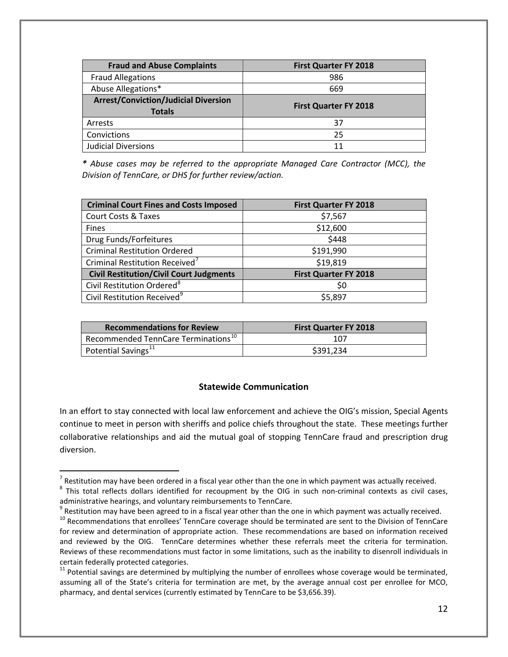| <b>Fraud and Abuse Complaints</b>                            | <b>First Quarter FY 2018</b> |
|--------------------------------------------------------------|------------------------------|
| <b>Fraud Allegations</b>                                     | 986                          |
| Abuse Allegations*                                           | 669                          |
| <b>Arrest/Conviction/Judicial Diversion</b><br><b>Totals</b> | <b>First Quarter FY 2018</b> |
| Arrests                                                      | 37                           |
| Convictions                                                  | 25                           |
| <b>Judicial Diversions</b>                                   | 11                           |

*\* Abuse cases may be referred to the appropriate Managed Care Contractor (MCC), the Division of TennCare, or DHS for further review/action.*

| <b>Criminal Court Fines and Costs Imposed</b>  | <b>First Quarter FY 2018</b> |
|------------------------------------------------|------------------------------|
| Court Costs & Taxes                            | \$7,567                      |
| Fines                                          | \$12,600                     |
| Drug Funds/Forfeitures                         | \$448                        |
| <b>Criminal Restitution Ordered</b>            | \$191,990                    |
| Criminal Restitution Received <sup>7</sup>     | \$19,819                     |
| <b>Civil Restitution/Civil Court Judgments</b> | <b>First Quarter FY 2018</b> |
| Civil Restitution Ordered <sup>8</sup>         | S0                           |
| Civil Restitution Received <sup>9</sup>        | \$5,897                      |

| <b>Recommendations for Review</b>               | <b>First Quarter FY 2018</b> |
|-------------------------------------------------|------------------------------|
| Recommended TennCare Terminations <sup>10</sup> | 107                          |
| Potential Savings <sup>11</sup>                 | \$391.234                    |

#### **Statewide Communication**

In an effort to stay connected with local law enforcement and achieve the OIG's mission, Special Agents continue to meet in person with sheriffs and police chiefs throughout the state. These meetings further collaborative relationships and aid the mutual goal of stopping TennCare fraud and prescription drug diversion.

 $\overline{a}$ 

<span id="page-11-0"></span> $<sup>7</sup>$  Restitution may have been ordered in a fiscal year other than the one in which payment was actually received.</sup>

<span id="page-11-1"></span> $8$  This total reflects dollars identified for recoupment by the OIG in such non-criminal contexts as civil cases,

administrative hearings, and voluntary reimbursements to TennCare.<br><sup>9</sup> Restitution may have been agreed to in a fiscal year other than the one in which payment was actually received.

<span id="page-11-3"></span><span id="page-11-2"></span> $10$  Recommendations that enrollees' TennCare coverage should be terminated are sent to the Division of TennCare for review and determination of appropriate action. These recommendations are based on information received and reviewed by the OIG. TennCare determines whether these referrals meet the criteria for termination. Reviews of these recommendations must factor in some limitations, such as the inability to disenroll individuals in certain federally protected categories.

<span id="page-11-4"></span> $11$  Potential savings are determined by multiplying the number of enrollees whose coverage would be terminated, assuming all of the State's criteria for termination are met, by the average annual cost per enrollee for MCO, pharmacy, and dental services (currently estimated by TennCare to be \$3,656.39).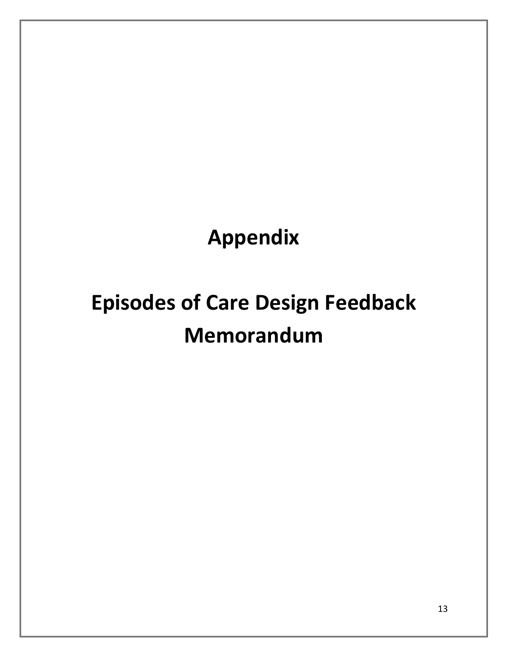## **Appendix**

# **Episodes of Care Design Feedback Memorandum**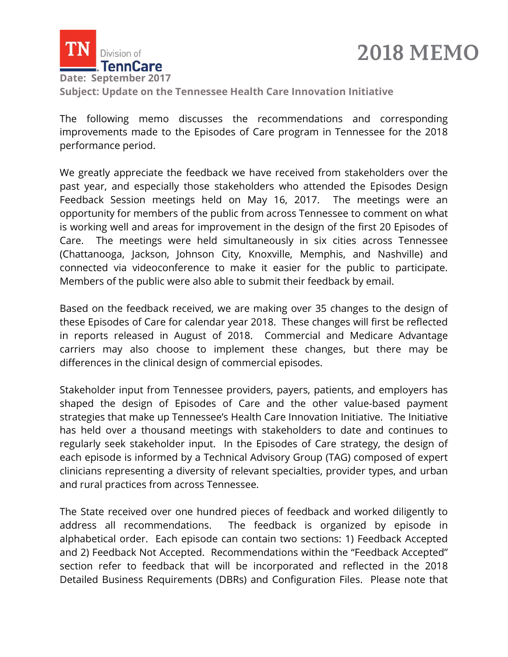

### **2018 MEMO**

**Subject: Update on the Tennessee Health Care Innovation Initiative**

The following memo discusses the recommendations and corresponding improvements made to the Episodes of Care program in Tennessee for the 2018 performance period.

We greatly appreciate the feedback we have received from stakeholders over the past year, and especially those stakeholders who attended the Episodes Design Feedback Session meetings held on May 16, 2017. The meetings were an opportunity for members of the public from across Tennessee to comment on what is working well and areas for improvement in the design of the first 20 Episodes of Care. The meetings were held simultaneously in six cities across Tennessee (Chattanooga, Jackson, Johnson City, Knoxville, Memphis, and Nashville) and connected via videoconference to make it easier for the public to participate. Members of the public were also able to submit their feedback by email.

Based on the feedback received, we are making over 35 changes to the design of these Episodes of Care for calendar year 2018. These changes will first be reflected in reports released in August of 2018. Commercial and Medicare Advantage carriers may also choose to implement these changes, but there may be differences in the clinical design of commercial episodes.

Stakeholder input from Tennessee providers, payers, patients, and employers has shaped the design of Episodes of Care and the other value-based payment strategies that make up Tennessee's Health Care Innovation Initiative. The Initiative has held over a thousand meetings with stakeholders to date and continues to regularly seek stakeholder input. In the Episodes of Care strategy, the design of each episode is informed by a Technical Advisory Group (TAG) composed of expert clinicians representing a diversity of relevant specialties, provider types, and urban and rural practices from across Tennessee.

The State received over one hundred pieces of feedback and worked diligently to address all recommendations. The feedback is organized by episode in alphabetical order. Each episode can contain two sections: 1) Feedback Accepted and 2) Feedback Not Accepted. Recommendations within the "Feedback Accepted" section refer to feedback that will be incorporated and reflected in the 2018 Detailed Business Requirements (DBRs) and Configuration Files. Please note that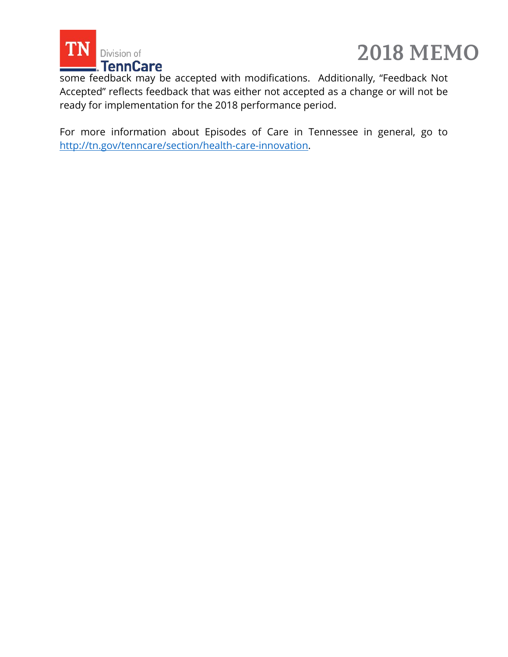



some feedback may be accepted with modifications. Additionally, "Feedback Not Accepted" reflects feedback that was either not accepted as a change or will not be ready for implementation for the 2018 performance period.

For more information about Episodes of Care in Tennessee in general, go to [http://tn.gov/tenncare/section/health-care-innovation.](http://tn.gov/tenncare/section/health-care-innovation)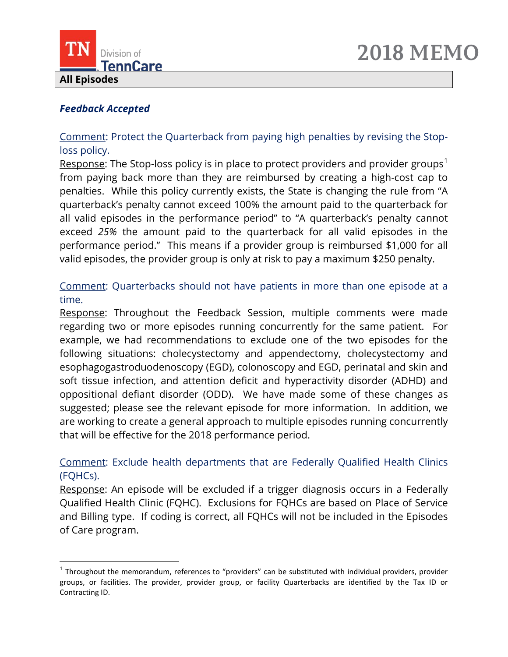



#### *Feedback Accepted*

 $\overline{\phantom{a}}$ 

Comment: Protect the Quarterback from paying high penalties by revising the Stoploss policy.

Response: The Stop-loss policy is in place to protect providers and provider groups<sup>[1](#page-15-0)</sup> from paying back more than they are reimbursed by creating a high-cost cap to penalties. While this policy currently exists, the State is changing the rule from "A quarterback's penalty cannot exceed 100% the amount paid to the quarterback for all valid episodes in the performance period" to "A quarterback's penalty cannot exceed *25%* the amount paid to the quarterback for all valid episodes in the performance period." This means if a provider group is reimbursed \$1,000 for all valid episodes, the provider group is only at risk to pay a maximum \$250 penalty.

Comment: Quarterbacks should not have patients in more than one episode at a time.

Response: Throughout the Feedback Session, multiple comments were made regarding two or more episodes running concurrently for the same patient. For example, we had recommendations to exclude one of the two episodes for the following situations: cholecystectomy and appendectomy, cholecystectomy and esophagogastroduodenoscopy (EGD), colonoscopy and EGD, perinatal and skin and soft tissue infection, and attention deficit and hyperactivity disorder (ADHD) and oppositional defiant disorder (ODD). We have made some of these changes as suggested; please see the relevant episode for more information. In addition, we are working to create a general approach to multiple episodes running concurrently that will be effective for the 2018 performance period.

Comment: Exclude health departments that are Federally Qualified Health Clinics (FQHCs).

Response: An episode will be excluded if a trigger diagnosis occurs in a Federally Qualified Health Clinic (FQHC). Exclusions for FQHCs are based on Place of Service and Billing type. If coding is correct, all FQHCs will not be included in the Episodes of Care program.

<span id="page-15-0"></span> $1$  Throughout the memorandum, references to "providers" can be substituted with individual providers, provider groups, or facilities. The provider, provider group, or facility Quarterbacks are identified by the Tax ID or Contracting ID.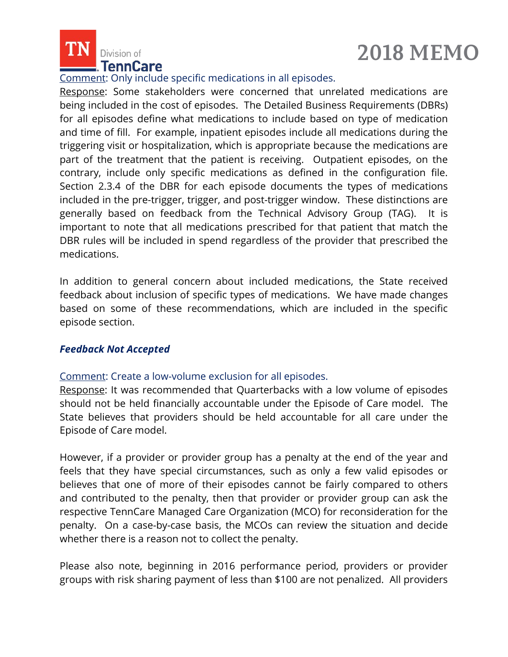

## **2018 MEMO**

#### Comment: Only include specific medications in all episodes.

Response: Some stakeholders were concerned that unrelated medications are being included in the cost of episodes. The Detailed Business Requirements (DBRs) for all episodes define what medications to include based on type of medication and time of fill. For example, inpatient episodes include all medications during the triggering visit or hospitalization, which is appropriate because the medications are part of the treatment that the patient is receiving. Outpatient episodes, on the contrary, include only specific medications as defined in the configuration file. Section 2.3.4 of the DBR for each episode documents the types of medications included in the pre-trigger, trigger, and post-trigger window. These distinctions are generally based on feedback from the Technical Advisory Group (TAG). It is important to note that all medications prescribed for that patient that match the DBR rules will be included in spend regardless of the provider that prescribed the medications.

In addition to general concern about included medications, the State received feedback about inclusion of specific types of medications. We have made changes based on some of these recommendations, which are included in the specific episode section.

#### *Feedback Not Accepted*

#### Comment: Create a low-volume exclusion for all episodes.

Response: It was recommended that Quarterbacks with a low volume of episodes should not be held financially accountable under the Episode of Care model. The State believes that providers should be held accountable for all care under the Episode of Care model.

However, if a provider or provider group has a penalty at the end of the year and feels that they have special circumstances, such as only a few valid episodes or believes that one of more of their episodes cannot be fairly compared to others and contributed to the penalty, then that provider or provider group can ask the respective TennCare Managed Care Organization (MCO) for reconsideration for the penalty. On a case-by-case basis, the MCOs can review the situation and decide whether there is a reason not to collect the penalty.

Please also note, beginning in 2016 performance period, providers or provider groups with risk sharing payment of less than \$100 are not penalized. All providers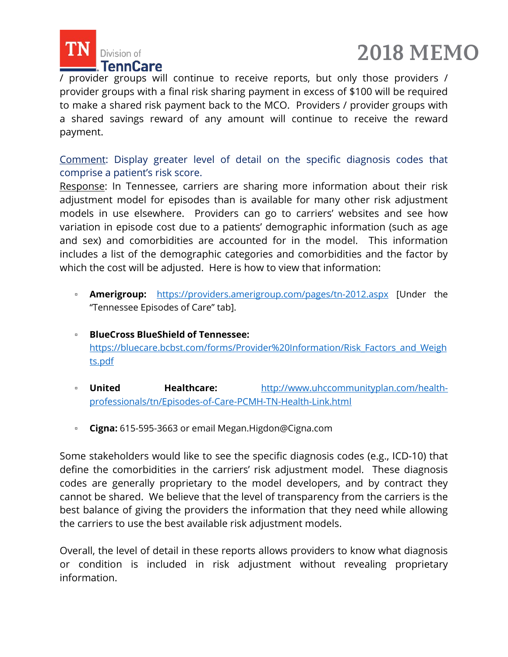



/ provider groups will continue to receive reports, but only those providers / provider groups with a final risk sharing payment in excess of \$100 will be required to make a shared risk payment back to the MCO. Providers / provider groups with a shared savings reward of any amount will continue to receive the reward payment.

Comment: Display greater level of detail on the specific diagnosis codes that comprise a patient's risk score.

Response: In Tennessee, carriers are sharing more information about their risk adjustment model for episodes than is available for many other risk adjustment models in use elsewhere. Providers can go to carriers' websites and see how variation in episode cost due to a patients' demographic information (such as age and sex) and comorbidities are accounted for in the model. This information includes a list of the demographic categories and comorbidities and the factor by which the cost will be adjusted. Here is how to view that information:

- **Amerigroup:** <https://providers.amerigroup.com/pages/tn-2012.aspx> [Under the "Tennessee Episodes of Care" tab].
- **BlueCross BlueShield of Tennessee:** [https://bluecare.bcbst.com/forms/Provider%20Information/Risk\\_Factors\\_and\\_Weigh](https://bluecare.bcbst.com/forms/Provider%20Information/Risk_Factors_and_Weights.pdf) [ts.pdf](https://bluecare.bcbst.com/forms/Provider%20Information/Risk_Factors_and_Weights.pdf)
- **United Healthcare:** [http://www.uhccommunityplan.com/health](http://www.uhccommunityplan.com/health-professionals/tn/Episodes-of-Care-PCMH-TN-Health-Link.html)[professionals/tn/Episodes-of-Care-PCMH-TN-Health-Link.html](http://www.uhccommunityplan.com/health-professionals/tn/Episodes-of-Care-PCMH-TN-Health-Link.html)
- **Cigna:** 615-595-3663 or email [Megan.Higdon@Cigna.com](mailto:Megan.Higdon@Cigna.com)

Some stakeholders would like to see the specific diagnosis codes (e.g., ICD-10) that define the comorbidities in the carriers' risk adjustment model. These diagnosis codes are generally proprietary to the model developers, and by contract they cannot be shared. We believe that the level of transparency from the carriers is the best balance of giving the providers the information that they need while allowing the carriers to use the best available risk adjustment models.

Overall, the level of detail in these reports allows providers to know what diagnosis or condition is included in risk adjustment without revealing proprietary information.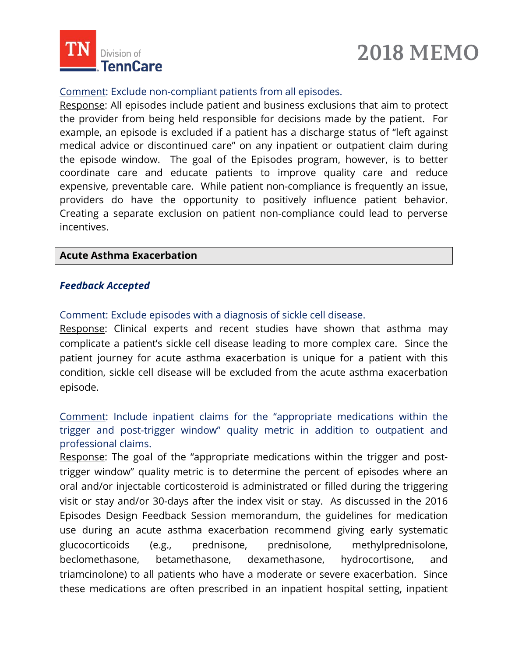

## **2018 MEMO**

#### Comment: Exclude non-compliant patients from all episodes.

Response: All episodes include patient and business exclusions that aim to protect the provider from being held responsible for decisions made by the patient. For example, an episode is excluded if a patient has a discharge status of "left against medical advice or discontinued care" on any inpatient or outpatient claim during the episode window. The goal of the Episodes program, however, is to better coordinate care and educate patients to improve quality care and reduce expensive, preventable care. While patient non-compliance is frequently an issue, providers do have the opportunity to positively influence patient behavior. Creating a separate exclusion on patient non-compliance could lead to perverse incentives.

#### **Acute Asthma Exacerbation**

#### *Feedback Accepted*

Comment: Exclude episodes with a diagnosis of sickle cell disease.

Response: Clinical experts and recent studies have shown that asthma may complicate a patient's sickle cell disease leading to more complex care. Since the patient journey for acute asthma exacerbation is unique for a patient with this condition, sickle cell disease will be excluded from the acute asthma exacerbation episode.

Comment: Include inpatient claims for the "appropriate medications within the trigger and post-trigger window" quality metric in addition to outpatient and professional claims.

Response: The goal of the "appropriate medications within the trigger and posttrigger window" quality metric is to determine the percent of episodes where an oral and/or injectable corticosteroid is administrated or filled during the triggering visit or stay and/or 30-days after the index visit or stay. As discussed in the 2016 Episodes Design Feedback Session memorandum, the guidelines for medication use during an acute asthma exacerbation recommend giving early systematic glucocorticoids (e.g., prednisone, prednisolone, methylprednisolone, beclomethasone, betamethasone, dexamethasone, hydrocortisone, and triamcinolone) to all patients who have a moderate or severe exacerbation. Since these medications are often prescribed in an inpatient hospital setting, inpatient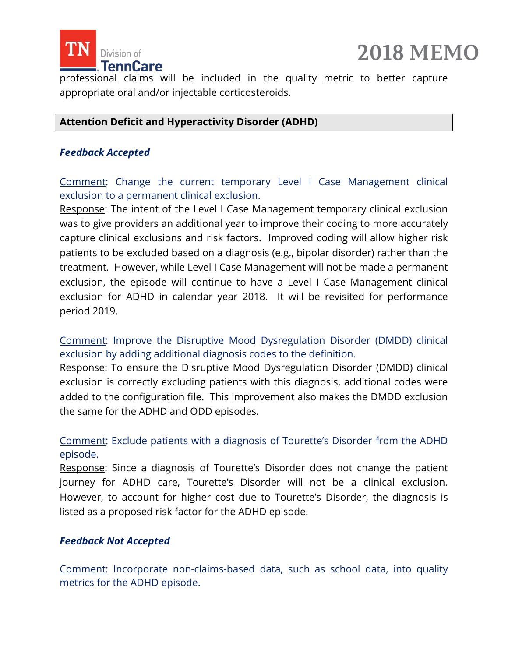

professional claims will be included in the quality metric to better capture appropriate oral and/or injectable corticosteroids.

#### **Attention Deficit and Hyperactivity Disorder (ADHD)**

#### *Feedback Accepted*

Comment: Change the current temporary Level I Case Management clinical exclusion to a permanent clinical exclusion.

Response: The intent of the Level I Case Management temporary clinical exclusion was to give providers an additional year to improve their coding to more accurately capture clinical exclusions and risk factors. Improved coding will allow higher risk patients to be excluded based on a diagnosis (e.g., bipolar disorder) rather than the treatment. However, while Level I Case Management will not be made a permanent exclusion, the episode will continue to have a Level I Case Management clinical exclusion for ADHD in calendar year 2018. It will be revisited for performance period 2019.

Comment: Improve the Disruptive Mood Dysregulation Disorder (DMDD) clinical exclusion by adding additional diagnosis codes to the definition.

Response: To ensure the Disruptive Mood Dysregulation Disorder (DMDD) clinical exclusion is correctly excluding patients with this diagnosis, additional codes were added to the configuration file. This improvement also makes the DMDD exclusion the same for the ADHD and ODD episodes.

#### Comment: Exclude patients with a diagnosis of Tourette's Disorder from the ADHD episode.

Response: Since a diagnosis of Tourette's Disorder does not change the patient journey for ADHD care, Tourette's Disorder will not be a clinical exclusion. However, to account for higher cost due to Tourette's Disorder, the diagnosis is listed as a proposed risk factor for the ADHD episode.

#### *Feedback Not Accepted*

Comment: Incorporate non-claims-based data, such as school data, into quality metrics for the ADHD episode.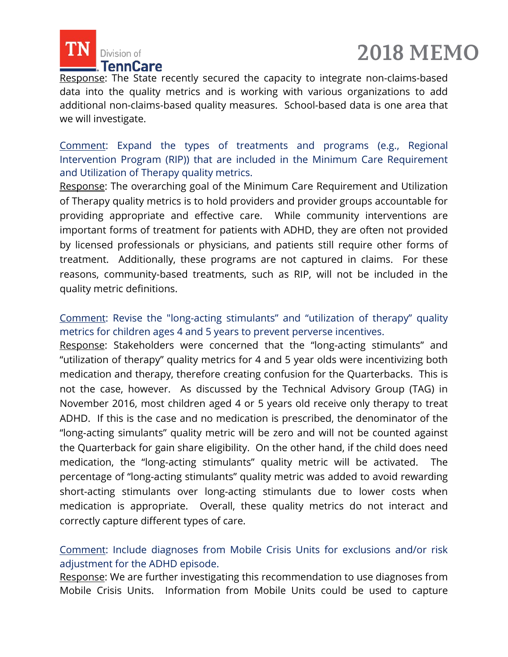



Response: The State recently secured the capacity to integrate non-claims-based data into the quality metrics and is working with various organizations to add additional non-claims-based quality measures. School-based data is one area that we will investigate.

Comment: Expand the types of treatments and programs (e.g., Regional Intervention Program (RIP)) that are included in the Minimum Care Requirement and Utilization of Therapy quality metrics.

Response: The overarching goal of the Minimum Care Requirement and Utilization of Therapy quality metrics is to hold providers and provider groups accountable for providing appropriate and effective care. While community interventions are important forms of treatment for patients with ADHD, they are often not provided by licensed professionals or physicians, and patients still require other forms of treatment. Additionally, these programs are not captured in claims. For these reasons, community-based treatments, such as RIP, will not be included in the quality metric definitions.

Comment: Revise the "long-acting stimulants" and "utilization of therapy" quality metrics for children ages 4 and 5 years to prevent perverse incentives.

Response: Stakeholders were concerned that the "long-acting stimulants" and "utilization of therapy" quality metrics for 4 and 5 year olds were incentivizing both medication and therapy, therefore creating confusion for the Quarterbacks. This is not the case, however. As discussed by the Technical Advisory Group (TAG) in November 2016, most children aged 4 or 5 years old receive only therapy to treat ADHD. If this is the case and no medication is prescribed, the denominator of the "long-acting simulants" quality metric will be zero and will not be counted against the Quarterback for gain share eligibility. On the other hand, if the child does need medication, the "long-acting stimulants" quality metric will be activated. The percentage of "long-acting stimulants" quality metric was added to avoid rewarding short-acting stimulants over long-acting stimulants due to lower costs when medication is appropriate. Overall, these quality metrics do not interact and correctly capture different types of care.

Comment: Include diagnoses from Mobile Crisis Units for exclusions and/or risk adjustment for the ADHD episode.

Response: We are further investigating this recommendation to use diagnoses from Mobile Crisis Units. Information from Mobile Units could be used to capture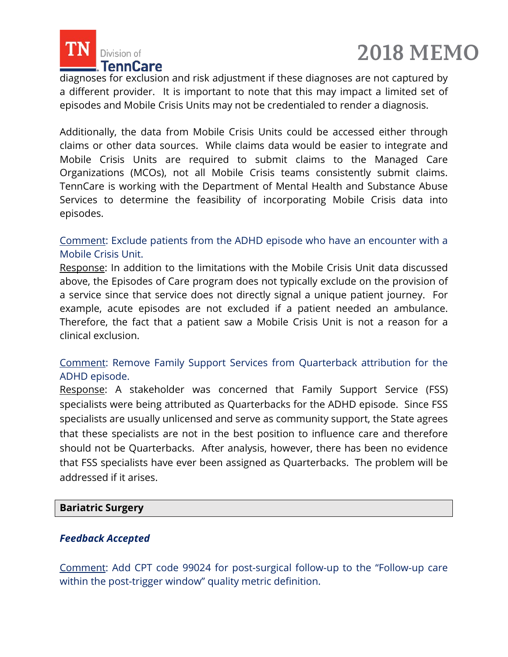



diagnoses for exclusion and risk adjustment if these diagnoses are not captured by a different provider. It is important to note that this may impact a limited set of episodes and Mobile Crisis Units may not be credentialed to render a diagnosis.

Additionally, the data from Mobile Crisis Units could be accessed either through claims or other data sources. While claims data would be easier to integrate and Mobile Crisis Units are required to submit claims to the Managed Care Organizations (MCOs), not all Mobile Crisis teams consistently submit claims. TennCare is working with the Department of Mental Health and Substance Abuse Services to determine the feasibility of incorporating Mobile Crisis data into episodes.

#### Comment: Exclude patients from the ADHD episode who have an encounter with a Mobile Crisis Unit.

Response: In addition to the limitations with the Mobile Crisis Unit data discussed above, the Episodes of Care program does not typically exclude on the provision of a service since that service does not directly signal a unique patient journey. For example, acute episodes are not excluded if a patient needed an ambulance. Therefore, the fact that a patient saw a Mobile Crisis Unit is not a reason for a clinical exclusion.

#### Comment: Remove Family Support Services from Quarterback attribution for the ADHD episode.

Response: A stakeholder was concerned that Family Support Service (FSS) specialists were being attributed as Quarterbacks for the ADHD episode. Since FSS specialists are usually unlicensed and serve as community support, the State agrees that these specialists are not in the best position to influence care and therefore should not be Quarterbacks. After analysis, however, there has been no evidence that FSS specialists have ever been assigned as Quarterbacks. The problem will be addressed if it arises.

#### **Bariatric Surgery**

#### *Feedback Accepted*

Comment: Add CPT code 99024 for post-surgical follow-up to the "Follow-up care within the post-trigger window" quality metric definition.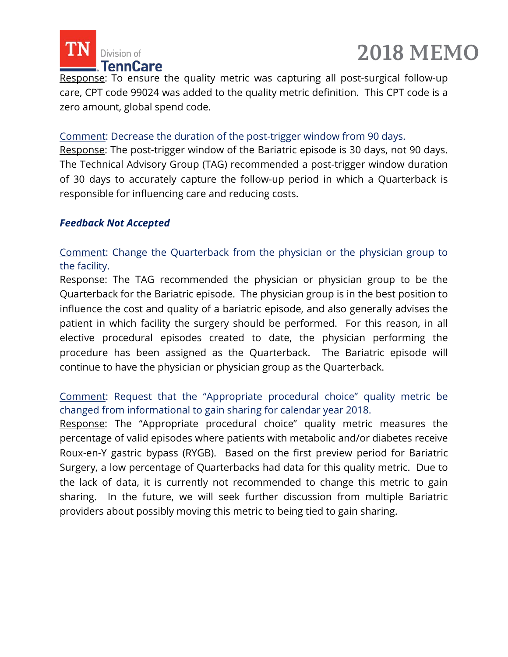



Response: To ensure the quality metric was capturing all post-surgical follow-up care, CPT code 99024 was added to the quality metric definition. This CPT code is a zero amount, global spend code.

#### Comment: Decrease the duration of the post-trigger window from 90 days.

Response: The post-trigger window of the Bariatric episode is 30 days, not 90 days. The Technical Advisory Group (TAG) recommended a post-trigger window duration of 30 days to accurately capture the follow-up period in which a Quarterback is responsible for influencing care and reducing costs.

#### *Feedback Not Accepted*

Comment: Change the Quarterback from the physician or the physician group to the facility.

Response: The TAG recommended the physician or physician group to be the Quarterback for the Bariatric episode. The physician group is in the best position to influence the cost and quality of a bariatric episode, and also generally advises the patient in which facility the surgery should be performed. For this reason, in all elective procedural episodes created to date, the physician performing the procedure has been assigned as the Quarterback. The Bariatric episode will continue to have the physician or physician group as the Quarterback.

#### Comment: Request that the "Appropriate procedural choice" quality metric be changed from informational to gain sharing for calendar year 2018.

Response: The "Appropriate procedural choice" quality metric measures the percentage of valid episodes where patients with metabolic and/or diabetes receive Roux-en-Y gastric bypass (RYGB). Based on the first preview period for Bariatric Surgery, a low percentage of Quarterbacks had data for this quality metric. Due to the lack of data, it is currently not recommended to change this metric to gain sharing. In the future, we will seek further discussion from multiple Bariatric providers about possibly moving this metric to being tied to gain sharing.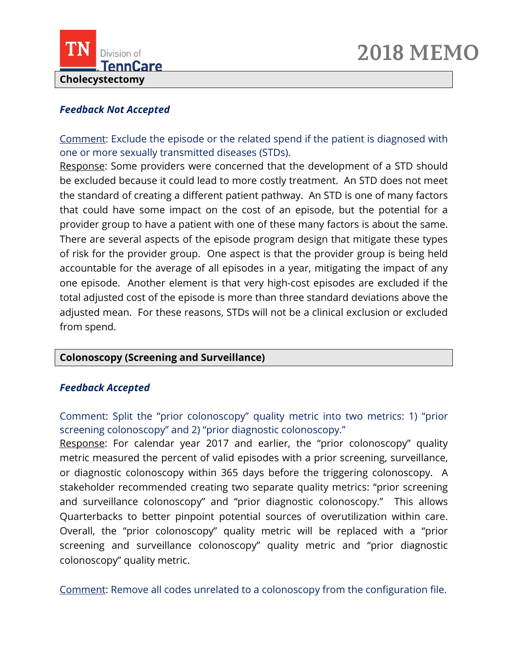



#### *Feedback Not Accepted*

Comment: Exclude the episode or the related spend if the patient is diagnosed with one or more sexually transmitted diseases (STDs).

Response: Some providers were concerned that the development of a STD should be excluded because it could lead to more costly treatment. An STD does not meet the standard of creating a different patient pathway. An STD is one of many factors that could have some impact on the cost of an episode, but the potential for a provider group to have a patient with one of these many factors is about the same. There are several aspects of the episode program design that mitigate these types of risk for the provider group. One aspect is that the provider group is being held accountable for the average of all episodes in a year, mitigating the impact of any one episode. Another element is that very high-cost episodes are excluded if the total adjusted cost of the episode is more than three standard deviations above the adjusted mean. For these reasons, STDs will not be a clinical exclusion or excluded from spend.

#### **Colonoscopy (Screening and Surveillance)**

#### *Feedback Accepted*

Comment: Split the "prior colonoscopy" quality metric into two metrics: 1) "prior screening colonoscopy" and 2) "prior diagnostic colonoscopy."

Response: For calendar year 2017 and earlier, the "prior colonoscopy" quality metric measured the percent of valid episodes with a prior screening, surveillance, or diagnostic colonoscopy within 365 days before the triggering colonoscopy. A stakeholder recommended creating two separate quality metrics: "prior screening and surveillance colonoscopy" and "prior diagnostic colonoscopy." This allows Quarterbacks to better pinpoint potential sources of overutilization within care. Overall, the "prior colonoscopy" quality metric will be replaced with a "prior screening and surveillance colonoscopy" quality metric and "prior diagnostic colonoscopy" quality metric.

Comment: Remove all codes unrelated to a colonoscopy from the configuration file.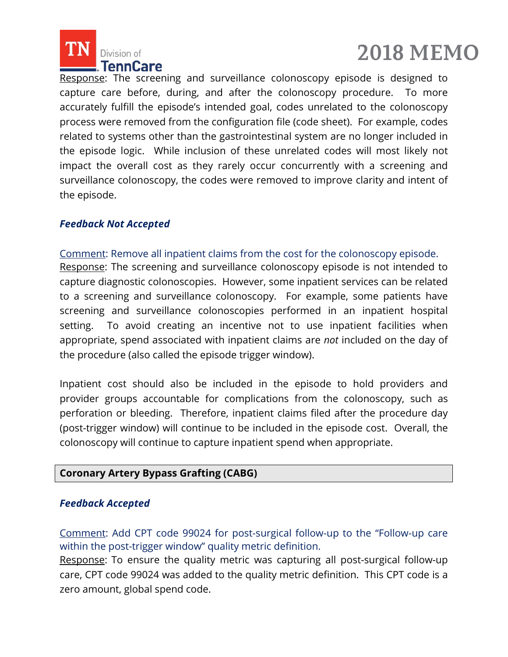



Response: The screening and surveillance colonoscopy episode is designed to capture care before, during, and after the colonoscopy procedure. To more accurately fulfill the episode's intended goal, codes unrelated to the colonoscopy process were removed from the configuration file (code sheet). For example, codes related to systems other than the gastrointestinal system are no longer included in the episode logic. While inclusion of these unrelated codes will most likely not impact the overall cost as they rarely occur concurrently with a screening and surveillance colonoscopy, the codes were removed to improve clarity and intent of the episode.

#### *Feedback Not Accepted*

Comment: Remove all inpatient claims from the cost for the colonoscopy episode.

Response: The screening and surveillance colonoscopy episode is not intended to capture diagnostic colonoscopies. However, some inpatient services can be related to a screening and surveillance colonoscopy. For example, some patients have screening and surveillance colonoscopies performed in an inpatient hospital setting. To avoid creating an incentive not to use inpatient facilities when appropriate, spend associated with inpatient claims are *not* included on the day of the procedure (also called the episode trigger window).

Inpatient cost should also be included in the episode to hold providers and provider groups accountable for complications from the colonoscopy, such as perforation or bleeding. Therefore, inpatient claims filed after the procedure day (post-trigger window) will continue to be included in the episode cost. Overall, the colonoscopy will continue to capture inpatient spend when appropriate.

#### **Coronary Artery Bypass Grafting (CABG)**

#### *Feedback Accepted*

Comment: Add CPT code 99024 for post-surgical follow-up to the "Follow-up care within the post-trigger window" quality metric definition.

Response: To ensure the quality metric was capturing all post-surgical follow-up care, CPT code 99024 was added to the quality metric definition. This CPT code is a zero amount, global spend code.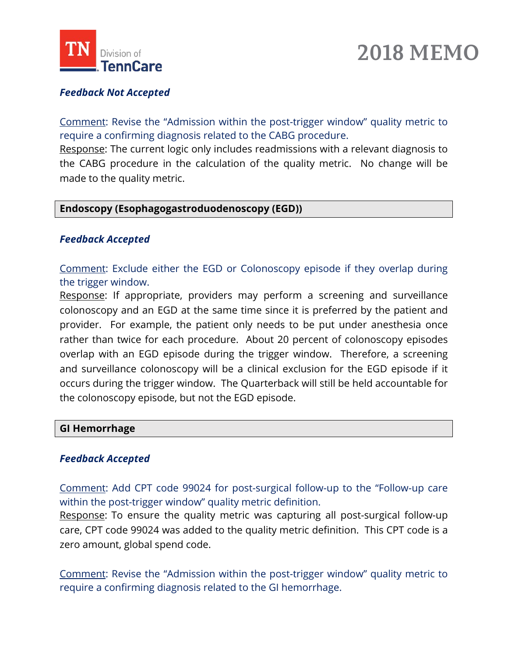

## **2018 MEMO**

#### *Feedback Not Accepted*

Comment: Revise the "Admission within the post-trigger window" quality metric to require a confirming diagnosis related to the CABG procedure.

Response: The current logic only includes readmissions with a relevant diagnosis to the CABG procedure in the calculation of the quality metric. No change will be made to the quality metric.

#### **Endoscopy (Esophagogastroduodenoscopy (EGD))**

#### *Feedback Accepted*

Comment: Exclude either the EGD or Colonoscopy episode if they overlap during the trigger window.

Response: If appropriate, providers may perform a screening and surveillance colonoscopy and an EGD at the same time since it is preferred by the patient and provider. For example, the patient only needs to be put under anesthesia once rather than twice for each procedure. About 20 percent of colonoscopy episodes overlap with an EGD episode during the trigger window. Therefore, a screening and surveillance colonoscopy will be a clinical exclusion for the EGD episode if it occurs during the trigger window. The Quarterback will still be held accountable for the colonoscopy episode, but not the EGD episode.

#### **GI Hemorrhage**

#### *Feedback Accepted*

Comment: Add CPT code 99024 for post-surgical follow-up to the "Follow-up care within the post-trigger window" quality metric definition.

Response: To ensure the quality metric was capturing all post-surgical follow-up care, CPT code 99024 was added to the quality metric definition. This CPT code is a zero amount, global spend code.

Comment: Revise the "Admission within the post-trigger window" quality metric to require a confirming diagnosis related to the GI hemorrhage.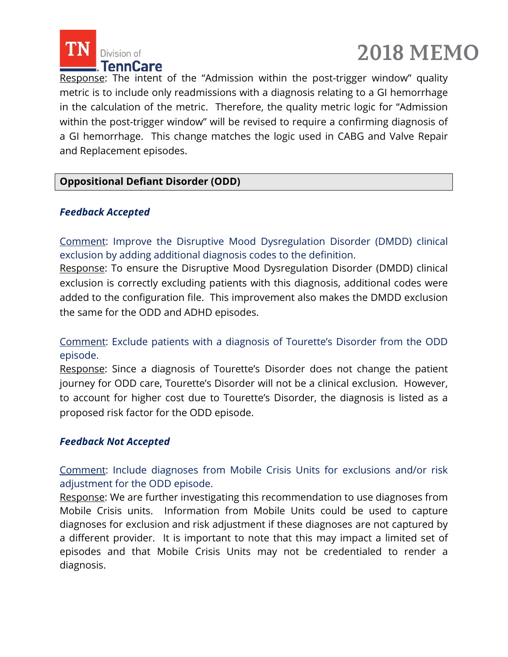



Response: The intent of the "Admission within the post-trigger window" quality metric is to include only readmissions with a diagnosis relating to a GI hemorrhage in the calculation of the metric. Therefore, the quality metric logic for "Admission within the post-trigger window" will be revised to require a confirming diagnosis of a GI hemorrhage. This change matches the logic used in CABG and Valve Repair and Replacement episodes.

#### **Oppositional Defiant Disorder (ODD)**

#### *Feedback Accepted*

Comment: Improve the Disruptive Mood Dysregulation Disorder (DMDD) clinical exclusion by adding additional diagnosis codes to the definition.

Response: To ensure the Disruptive Mood Dysregulation Disorder (DMDD) clinical exclusion is correctly excluding patients with this diagnosis, additional codes were added to the configuration file. This improvement also makes the DMDD exclusion the same for the ODD and ADHD episodes.

Comment: Exclude patients with a diagnosis of Tourette's Disorder from the ODD episode.

Response: Since a diagnosis of Tourette's Disorder does not change the patient journey for ODD care, Tourette's Disorder will not be a clinical exclusion. However, to account for higher cost due to Tourette's Disorder, the diagnosis is listed as a proposed risk factor for the ODD episode.

#### *Feedback Not Accepted*

Comment: Include diagnoses from Mobile Crisis Units for exclusions and/or risk adjustment for the ODD episode.

Response: We are further investigating this recommendation to use diagnoses from Mobile Crisis units. Information from Mobile Units could be used to capture diagnoses for exclusion and risk adjustment if these diagnoses are not captured by a different provider. It is important to note that this may impact a limited set of episodes and that Mobile Crisis Units may not be credentialed to render a diagnosis.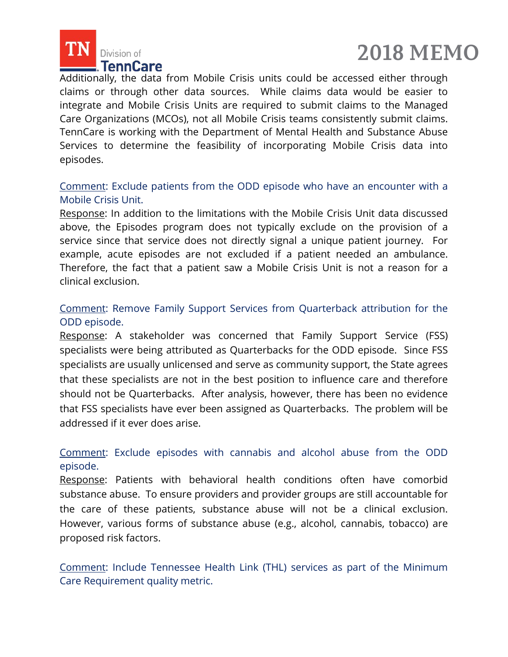



Additionally, the data from Mobile Crisis units could be accessed either through claims or through other data sources. While claims data would be easier to integrate and Mobile Crisis Units are required to submit claims to the Managed Care Organizations (MCOs), not all Mobile Crisis teams consistently submit claims. TennCare is working with the Department of Mental Health and Substance Abuse Services to determine the feasibility of incorporating Mobile Crisis data into episodes.

#### Comment: Exclude patients from the ODD episode who have an encounter with a Mobile Crisis Unit.

Response: In addition to the limitations with the Mobile Crisis Unit data discussed above, the Episodes program does not typically exclude on the provision of a service since that service does not directly signal a unique patient journey. For example, acute episodes are not excluded if a patient needed an ambulance. Therefore, the fact that a patient saw a Mobile Crisis Unit is not a reason for a clinical exclusion.

#### Comment: Remove Family Support Services from Quarterback attribution for the ODD episode.

Response: A stakeholder was concerned that Family Support Service (FSS) specialists were being attributed as Quarterbacks for the ODD episode. Since FSS specialists are usually unlicensed and serve as community support, the State agrees that these specialists are not in the best position to influence care and therefore should not be Quarterbacks. After analysis, however, there has been no evidence that FSS specialists have ever been assigned as Quarterbacks. The problem will be addressed if it ever does arise.

#### Comment: Exclude episodes with cannabis and alcohol abuse from the ODD episode.

Response: Patients with behavioral health conditions often have comorbid substance abuse. To ensure providers and provider groups are still accountable for the care of these patients, substance abuse will not be a clinical exclusion. However, various forms of substance abuse (e.g., alcohol, cannabis, tobacco) are proposed risk factors.

Comment: Include Tennessee Health Link (THL) services as part of the Minimum Care Requirement quality metric.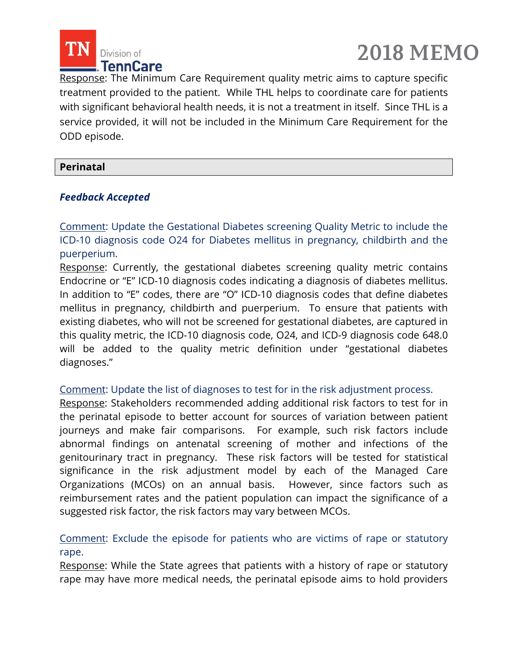



Response: The Minimum Care Requirement quality metric aims to capture specific treatment provided to the patient. While THL helps to coordinate care for patients with significant behavioral health needs, it is not a treatment in itself. Since THL is a service provided, it will not be included in the Minimum Care Requirement for the ODD episode.

#### **Perinatal**

#### *Feedback Accepted*

Comment: Update the Gestational Diabetes screening Quality Metric to include the ICD-10 diagnosis code O24 for Diabetes mellitus in pregnancy, childbirth and the puerperium.

Response: Currently, the gestational diabetes screening quality metric contains Endocrine or "E" ICD-10 diagnosis codes indicating a diagnosis of diabetes mellitus. In addition to "E" codes, there are "O" ICD-10 diagnosis codes that define diabetes mellitus in pregnancy, childbirth and puerperium. To ensure that patients with existing diabetes, who will not be screened for gestational diabetes, are captured in this quality metric, the ICD-10 diagnosis code, O24, and ICD-9 diagnosis code 648.0 will be added to the quality metric definition under "gestational diabetes diagnoses."

#### Comment: Update the list of diagnoses to test for in the risk adjustment process.

Response: Stakeholders recommended adding additional risk factors to test for in the perinatal episode to better account for sources of variation between patient journeys and make fair comparisons. For example, such risk factors include abnormal findings on antenatal screening of mother and infections of the genitourinary tract in pregnancy. These risk factors will be tested for statistical significance in the risk adjustment model by each of the Managed Care Organizations (MCOs) on an annual basis. However, since factors such as reimbursement rates and the patient population can impact the significance of a suggested risk factor, the risk factors may vary between MCOs.

#### Comment: Exclude the episode for patients who are victims of rape or statutory rape.

Response: While the State agrees that patients with a history of rape or statutory rape may have more medical needs, the perinatal episode aims to hold providers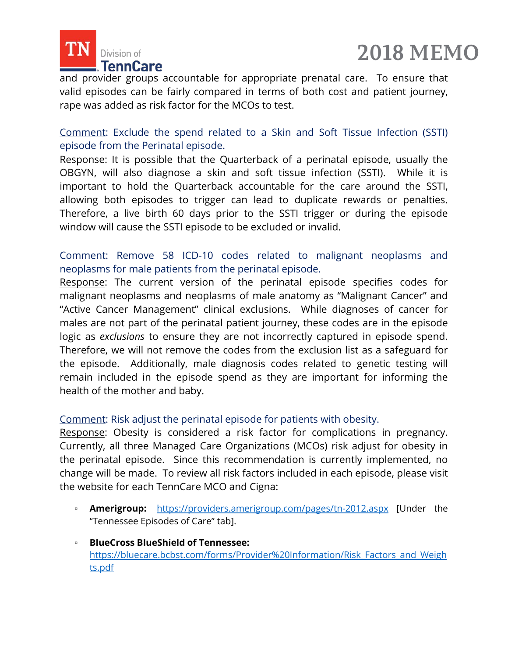



and provider groups accountable for appropriate prenatal care. To ensure that valid episodes can be fairly compared in terms of both cost and patient journey, rape was added as risk factor for the MCOs to test.

Comment: Exclude the spend related to a Skin and Soft Tissue Infection (SSTI) episode from the Perinatal episode.

Response: It is possible that the Quarterback of a perinatal episode, usually the OBGYN, will also diagnose a skin and soft tissue infection (SSTI). While it is important to hold the Quarterback accountable for the care around the SSTI, allowing both episodes to trigger can lead to duplicate rewards or penalties. Therefore, a live birth 60 days prior to the SSTI trigger or during the episode window will cause the SSTI episode to be excluded or invalid.

#### Comment: Remove 58 ICD-10 codes related to malignant neoplasms and neoplasms for male patients from the perinatal episode.

Response: The current version of the perinatal episode specifies codes for malignant neoplasms and neoplasms of male anatomy as "Malignant Cancer" and "Active Cancer Management" clinical exclusions. While diagnoses of cancer for males are not part of the perinatal patient journey, these codes are in the episode logic as *exclusions* to ensure they are not incorrectly captured in episode spend. Therefore, we will not remove the codes from the exclusion list as a safeguard for the episode. Additionally, male diagnosis codes related to genetic testing will remain included in the episode spend as they are important for informing the health of the mother and baby.

#### Comment: Risk adjust the perinatal episode for patients with obesity.

Response: Obesity is considered a risk factor for complications in pregnancy. Currently, all three Managed Care Organizations (MCOs) risk adjust for obesity in the perinatal episode. Since this recommendation is currently implemented, no change will be made. To review all risk factors included in each episode, please visit the website for each TennCare MCO and Cigna:

- **Amerigroup:** <https://providers.amerigroup.com/pages/tn-2012.aspx> [Under the "Tennessee Episodes of Care" tab].
- **BlueCross BlueShield of Tennessee:** [https://bluecare.bcbst.com/forms/Provider%20Information/Risk\\_Factors\\_and\\_Weigh](https://bluecare.bcbst.com/forms/Provider%20Information/Risk_Factors_and_Weights.pdf) [ts.pdf](https://bluecare.bcbst.com/forms/Provider%20Information/Risk_Factors_and_Weights.pdf)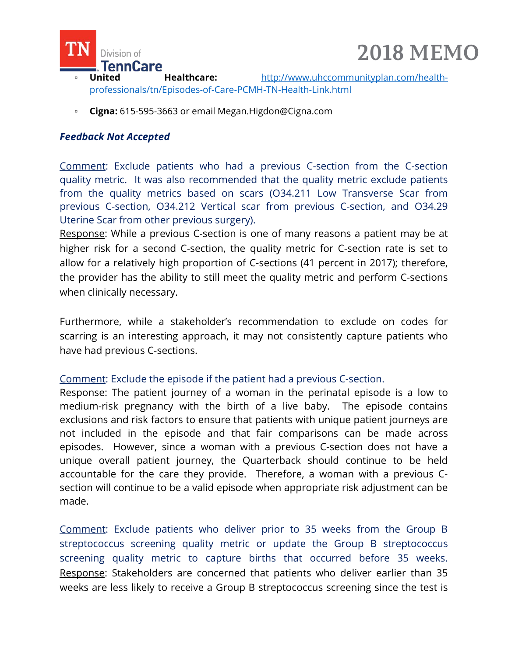



- United Healthcare: [http://www.uhccommunityplan.com/health](http://www.uhccommunityplan.com/health-professionals/tn/Episodes-of-Care-PCMH-TN-Health-Link.html)[professionals/tn/Episodes-of-Care-PCMH-TN-Health-Link.html](http://www.uhccommunityplan.com/health-professionals/tn/Episodes-of-Care-PCMH-TN-Health-Link.html)
- **Cigna:** 615-595-3663 or email [Megan.Higdon@Cigna.com](mailto:Megan.Higdon@Cigna.com)

#### *Feedback Not Accepted*

Comment: Exclude patients who had a previous C-section from the C-section quality metric. It was also recommended that the quality metric exclude patients from the quality metrics based on scars (O34.211 Low Transverse Scar from previous C-section, O34.212 Vertical scar from previous C-section, and O34.29 Uterine Scar from other previous surgery).

Response: While a previous C-section is one of many reasons a patient may be at higher risk for a second C-section, the quality metric for C-section rate is set to allow for a relatively high proportion of C-sections (41 percent in 2017); therefore, the provider has the ability to still meet the quality metric and perform C-sections when clinically necessary.

Furthermore, while a stakeholder's recommendation to exclude on codes for scarring is an interesting approach, it may not consistently capture patients who have had previous C-sections.

#### Comment: Exclude the episode if the patient had a previous C-section.

Response: The patient journey of a woman in the perinatal episode is a low to medium-risk pregnancy with the birth of a live baby. The episode contains exclusions and risk factors to ensure that patients with unique patient journeys are not included in the episode and that fair comparisons can be made across episodes. However, since a woman with a previous C-section does not have a unique overall patient journey, the Quarterback should continue to be held accountable for the care they provide. Therefore, a woman with a previous Csection will continue to be a valid episode when appropriate risk adjustment can be made.

Comment: Exclude patients who deliver prior to 35 weeks from the Group B streptococcus screening quality metric or update the Group B streptococcus screening quality metric to capture births that occurred before 35 weeks. Response: Stakeholders are concerned that patients who deliver earlier than 35 weeks are less likely to receive a Group B streptococcus screening since the test is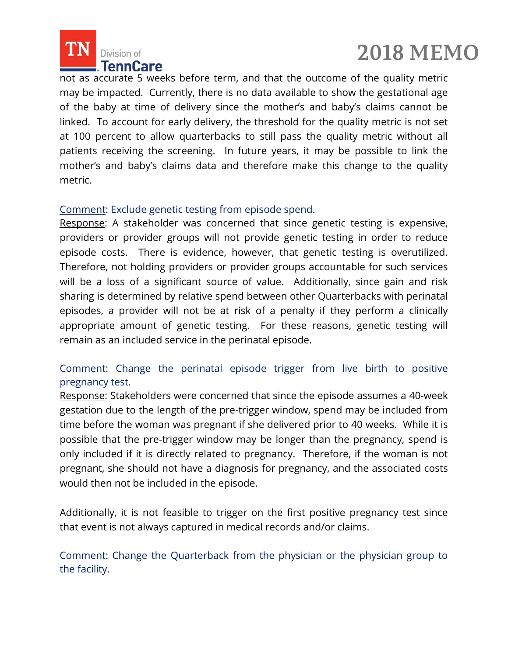



not as accurate 5 weeks before term, and that the outcome of the quality metric may be impacted. Currently, there is no data available to show the gestational age of the baby at time of delivery since the mother's and baby's claims cannot be linked. To account for early delivery, the threshold for the quality metric is not set at 100 percent to allow quarterbacks to still pass the quality metric without all patients receiving the screening. In future years, it may be possible to link the mother's and baby's claims data and therefore make this change to the quality metric.

#### Comment: Exclude genetic testing from episode spend.

Response: A stakeholder was concerned that since genetic testing is expensive, providers or provider groups will not provide genetic testing in order to reduce episode costs. There is evidence, however, that genetic testing is overutilized. Therefore, not holding providers or provider groups accountable for such services will be a loss of a significant source of value. Additionally, since gain and risk sharing is determined by relative spend between other Quarterbacks with perinatal episodes, a provider will not be at risk of a penalty if they perform a clinically appropriate amount of genetic testing. For these reasons, genetic testing will remain as an included service in the perinatal episode.

#### Comment: Change the perinatal episode trigger from live birth to positive pregnancy test.

Response: Stakeholders were concerned that since the episode assumes a 40-week gestation due to the length of the pre-trigger window, spend may be included from time before the woman was pregnant if she delivered prior to 40 weeks. While it is possible that the pre-trigger window may be longer than the pregnancy, spend is only included if it is directly related to pregnancy. Therefore, if the woman is not pregnant, she should not have a diagnosis for pregnancy, and the associated costs would then not be included in the episode.

Additionally, it is not feasible to trigger on the first positive pregnancy test since that event is not always captured in medical records and/or claims.

Comment: Change the Quarterback from the physician or the physician group to the facility.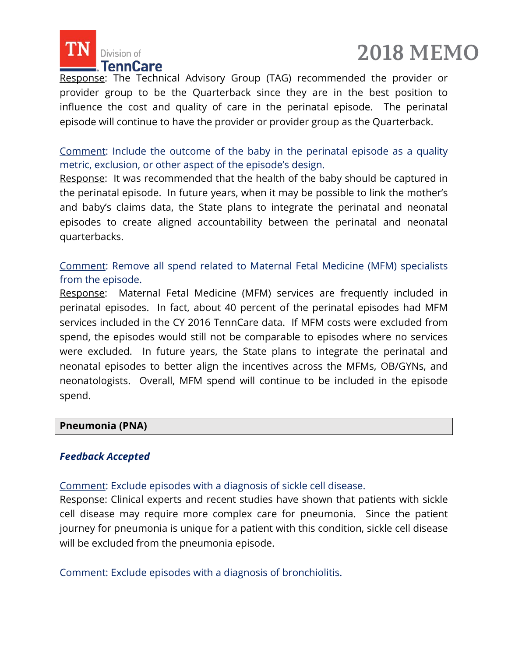

## **2018 MEMO**

Response: The Technical Advisory Group (TAG) recommended the provider or provider group to be the Quarterback since they are in the best position to influence the cost and quality of care in the perinatal episode. The perinatal episode will continue to have the provider or provider group as the Quarterback.

Comment: Include the outcome of the baby in the perinatal episode as a quality metric, exclusion, or other aspect of the episode's design.

Response: It was recommended that the health of the baby should be captured in the perinatal episode. In future years, when it may be possible to link the mother's and baby's claims data, the State plans to integrate the perinatal and neonatal episodes to create aligned accountability between the perinatal and neonatal quarterbacks.

Comment: Remove all spend related to Maternal Fetal Medicine (MFM) specialists from the episode.

Response: Maternal Fetal Medicine (MFM) services are frequently included in perinatal episodes. In fact, about 40 percent of the perinatal episodes had MFM services included in the CY 2016 TennCare data. If MFM costs were excluded from spend, the episodes would still not be comparable to episodes where no services were excluded. In future years, the State plans to integrate the perinatal and neonatal episodes to better align the incentives across the MFMs, OB/GYNs, and neonatologists. Overall, MFM spend will continue to be included in the episode spend.

#### **Pneumonia (PNA)**

#### *Feedback Accepted*

Comment: Exclude episodes with a diagnosis of sickle cell disease.

Response: Clinical experts and recent studies have shown that patients with sickle cell disease may require more complex care for pneumonia. Since the patient journey for pneumonia is unique for a patient with this condition, sickle cell disease will be excluded from the pneumonia episode.

Comment: Exclude episodes with a diagnosis of bronchiolitis.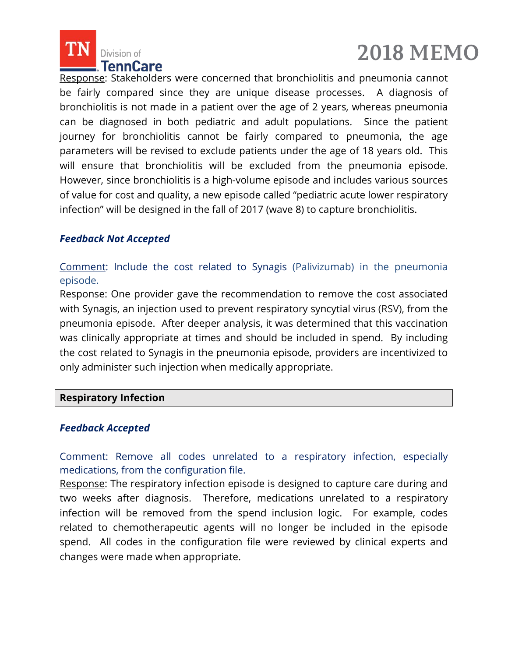



Response: Stakeholders were concerned that bronchiolitis and pneumonia cannot be fairly compared since they are unique disease processes. A diagnosis of bronchiolitis is not made in a patient over the age of 2 years, whereas pneumonia can be diagnosed in both pediatric and adult populations. Since the patient journey for bronchiolitis cannot be fairly compared to pneumonia, the age parameters will be revised to exclude patients under the age of 18 years old. This will ensure that bronchiolitis will be excluded from the pneumonia episode. However, since bronchiolitis is a high-volume episode and includes various sources of value for cost and quality, a new episode called "pediatric acute lower respiratory infection" will be designed in the fall of 2017 (wave 8) to capture bronchiolitis.

#### *Feedback Not Accepted*

Comment: Include the cost related to Synagis (Palivizumab) in the pneumonia episode.

Response: One provider gave the recommendation to remove the cost associated with Synagis, an injection used to prevent respiratory syncytial virus (RSV), from the pneumonia episode. After deeper analysis, it was determined that this vaccination was clinically appropriate at times and should be included in spend. By including the cost related to Synagis in the pneumonia episode, providers are incentivized to only administer such injection when medically appropriate.

#### **Respiratory Infection**

#### *Feedback Accepted*

Comment: Remove all codes unrelated to a respiratory infection, especially medications, from the configuration file.

Response: The respiratory infection episode is designed to capture care during and two weeks after diagnosis. Therefore, medications unrelated to a respiratory infection will be removed from the spend inclusion logic. For example, codes related to chemotherapeutic agents will no longer be included in the episode spend. All codes in the configuration file were reviewed by clinical experts and changes were made when appropriate.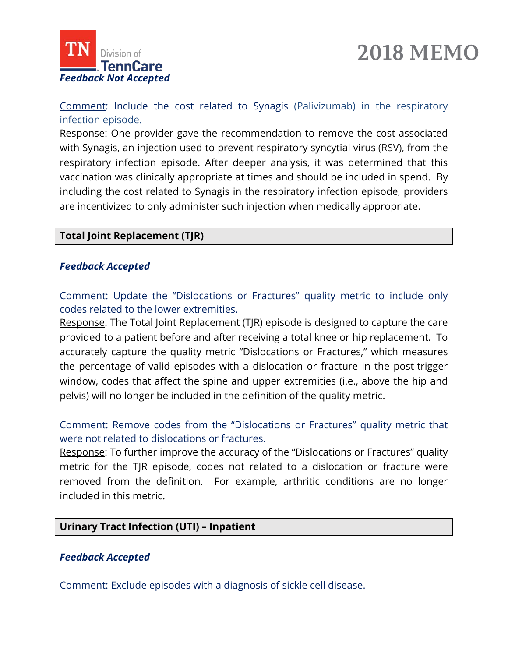



Comment: Include the cost related to Synagis (Palivizumab) in the respiratory infection episode.

Response: One provider gave the recommendation to remove the cost associated with Synagis, an injection used to prevent respiratory syncytial virus (RSV), from the respiratory infection episode. After deeper analysis, it was determined that this vaccination was clinically appropriate at times and should be included in spend. By including the cost related to Synagis in the respiratory infection episode, providers are incentivized to only administer such injection when medically appropriate.

#### **Total Joint Replacement (TJR)**

#### *Feedback Accepted*

Comment: Update the "Dislocations or Fractures" quality metric to include only codes related to the lower extremities.

Response: The Total Joint Replacement (TJR) episode is designed to capture the care provided to a patient before and after receiving a total knee or hip replacement. To accurately capture the quality metric "Dislocations or Fractures," which measures the percentage of valid episodes with a dislocation or fracture in the post-trigger window, codes that affect the spine and upper extremities (i.e., above the hip and pelvis) will no longer be included in the definition of the quality metric.

Comment: Remove codes from the "Dislocations or Fractures" quality metric that were not related to dislocations or fractures.

Response: To further improve the accuracy of the "Dislocations or Fractures" quality metric for the TJR episode, codes not related to a dislocation or fracture were removed from the definition. For example, arthritic conditions are no longer included in this metric.

#### **Urinary Tract Infection (UTI) – Inpatient**

#### *Feedback Accepted*

Comment: Exclude episodes with a diagnosis of sickle cell disease.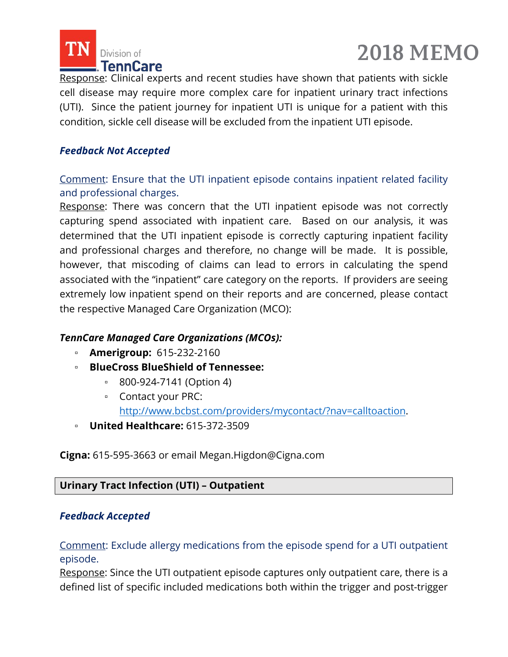



Response: Clinical experts and recent studies have shown that patients with sickle cell disease may require more complex care for inpatient urinary tract infections (UTI). Since the patient journey for inpatient UTI is unique for a patient with this condition, sickle cell disease will be excluded from the inpatient UTI episode.

#### *Feedback Not Accepted*

Comment: Ensure that the UTI inpatient episode contains inpatient related facility and professional charges.

Response: There was concern that the UTI inpatient episode was not correctly capturing spend associated with inpatient care. Based on our analysis, it was determined that the UTI inpatient episode is correctly capturing inpatient facility and professional charges and therefore, no change will be made. It is possible, however, that miscoding of claims can lead to errors in calculating the spend associated with the "inpatient" care category on the reports. If providers are seeing extremely low inpatient spend on their reports and are concerned, please contact the respective Managed Care Organization (MCO):

#### *TennCare Managed Care Organizations (MCOs):*

- **Amerigroup:** 615-232-2160
- **BlueCross BlueShield of Tennessee:**
	- 800-924-7141 (Option 4)
	- Contact your PRC:

[http://www.bcbst.com/providers/mycontact/?nav=calltoaction.](http://www.bcbst.com/providers/mycontact/?nav=calltoaction)

▫ **United Healthcare:** 615-372-3509

**Cigna:** 615-595-3663 or email [Megan.Higdon@Cigna.com](mailto:Megan.Higdon@Cigna.com)

#### **Urinary Tract Infection (UTI) – Outpatient**

#### *Feedback Accepted*

Comment: Exclude allergy medications from the episode spend for a UTI outpatient episode.

Response: Since the UTI outpatient episode captures only outpatient care, there is a defined list of specific included medications both within the trigger and post-trigger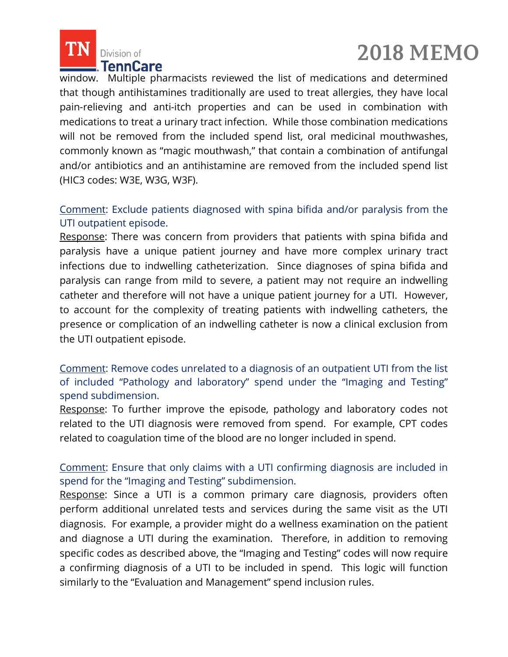



window. Multiple pharmacists reviewed the list of medications and determined that though antihistamines traditionally are used to treat allergies, they have local pain-relieving and anti-itch properties and can be used in combination with medications to treat a urinary tract infection. While those combination medications will not be removed from the included spend list, oral medicinal mouthwashes, commonly known as "magic mouthwash," that contain a combination of antifungal and/or antibiotics and an antihistamine are removed from the included spend list (HIC3 codes: W3E, W3G, W3F).

#### Comment: Exclude patients diagnosed with spina bifida and/or paralysis from the UTI outpatient episode.

Response: There was concern from providers that patients with spina bifida and paralysis have a unique patient journey and have more complex urinary tract infections due to indwelling catheterization. Since diagnoses of spina bifida and paralysis can range from mild to severe, a patient may not require an indwelling catheter and therefore will not have a unique patient journey for a UTI. However, to account for the complexity of treating patients with indwelling catheters, the presence or complication of an indwelling catheter is now a clinical exclusion from the UTI outpatient episode.

Comment: Remove codes unrelated to a diagnosis of an outpatient UTI from the list of included "Pathology and laboratory" spend under the "Imaging and Testing" spend subdimension.

Response: To further improve the episode, pathology and laboratory codes not related to the UTI diagnosis were removed from spend. For example, CPT codes related to coagulation time of the blood are no longer included in spend.

#### Comment: Ensure that only claims with a UTI confirming diagnosis are included in spend for the "Imaging and Testing" subdimension.

Response: Since a UTI is a common primary care diagnosis, providers often perform additional unrelated tests and services during the same visit as the UTI diagnosis. For example, a provider might do a wellness examination on the patient and diagnose a UTI during the examination. Therefore, in addition to removing specific codes as described above, the "Imaging and Testing" codes will now require a confirming diagnosis of a UTI to be included in spend. This logic will function similarly to the "Evaluation and Management" spend inclusion rules.